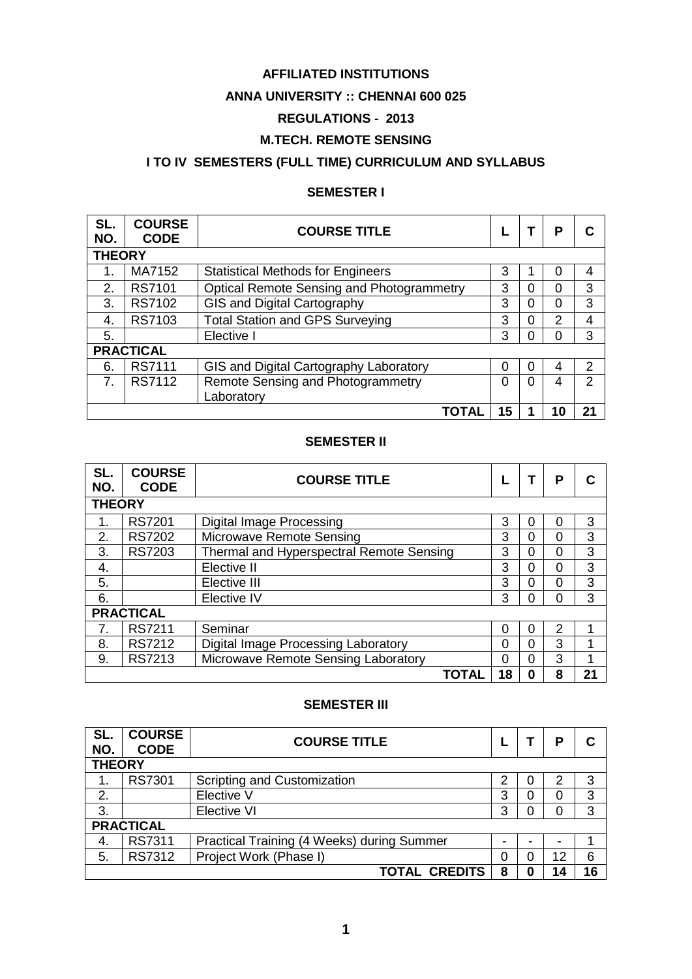### **AFFILIATED INSTITUTIONS**

#### **ANNA UNIVERSITY :: CHENNAI 600 025**

# **REGULATIONS - 2013**

#### **M.TECH. REMOTE SENSING**

# **I TO IV SEMESTERS (FULL TIME) CURRICULUM AND SYLLABUS**

# **SEMESTER I**

| SL.<br>NO.     | <b>COURSE</b><br><b>CODE</b> | <b>COURSE TITLE</b>                              |    |   | Р  |    |  |  |  |
|----------------|------------------------------|--------------------------------------------------|----|---|----|----|--|--|--|
|                | <b>THEORY</b>                |                                                  |    |   |    |    |  |  |  |
| 1.             | MA7152                       | <b>Statistical Methods for Engineers</b>         | 3  |   | 0  | 4  |  |  |  |
| 2.             | <b>RS7101</b>                | <b>Optical Remote Sensing and Photogrammetry</b> | 3  | 0 | 0  | 3  |  |  |  |
| 3.             | RS7102                       | <b>GIS and Digital Cartography</b>               | 3  | 0 | 0  | 3  |  |  |  |
| 4.             | RS7103                       | <b>Total Station and GPS Surveying</b>           | 3  | 0 | 2  | 4  |  |  |  |
| 5.             |                              | Elective I                                       | 3  | 0 | 0  | 3  |  |  |  |
|                | <b>PRACTICAL</b>             |                                                  |    |   |    |    |  |  |  |
| 6.             | <b>RS7111</b>                | GIS and Digital Cartography Laboratory           | 0  | 0 | 4  | 2  |  |  |  |
| 7 <sub>1</sub> | <b>RS7112</b>                | Remote Sensing and Photogrammetry                | 0  | 0 | 4  | 2  |  |  |  |
|                |                              | Laboratory                                       |    |   |    |    |  |  |  |
|                |                              | TOTAL                                            | 15 |   | 10 | 21 |  |  |  |

#### **SEMESTER II**

| SL.<br>NO. | <b>COURSE</b><br><b>CODE</b> | <b>COURSE TITLE</b>                      |          |   | Р |    |  |  |  |
|------------|------------------------------|------------------------------------------|----------|---|---|----|--|--|--|
|            | <b>THEORY</b>                |                                          |          |   |   |    |  |  |  |
|            | <b>RS7201</b>                | Digital Image Processing                 | 3        | 0 | 0 | 3  |  |  |  |
| 2.         | <b>RS7202</b>                | Microwave Remote Sensing                 | 3        | 0 | 0 | 3  |  |  |  |
| 3.         | RS7203                       | Thermal and Hyperspectral Remote Sensing | 3        | 0 | 0 | 3  |  |  |  |
| 4.         |                              | Elective II                              | 3        | 0 | 0 | 3  |  |  |  |
| 5.         |                              | Elective III                             | 3        | 0 | 0 | 3  |  |  |  |
| 6.         |                              | Elective IV                              | 3        | 0 | 0 | 3  |  |  |  |
|            | <b>PRACTICAL</b>             |                                          |          |   |   |    |  |  |  |
| 7.         | <b>RS7211</b>                | Seminar                                  | 0        | 0 | 2 | 1  |  |  |  |
| 8.         | <b>RS7212</b>                | Digital Image Processing Laboratory      | $\Omega$ | 0 | 3 | 1  |  |  |  |
| 9.         | RS7213                       | Microwave Remote Sensing Laboratory      | $\Omega$ | 0 | 3 | 1  |  |  |  |
|            |                              | TOTAL                                    | 18       | 0 | 8 | 21 |  |  |  |

#### **SEMESTER III**

| SL.<br>NO.       | <b>COURSE</b><br><b>CODE</b> | <b>COURSE TITLE</b>                        |   |  | Р  |    |  |  |
|------------------|------------------------------|--------------------------------------------|---|--|----|----|--|--|
|                  | <b>THEORY</b>                |                                            |   |  |    |    |  |  |
|                  | RS7301                       | Scripting and Customization                | 2 |  | 2  | 3  |  |  |
| 2.               |                              | Elective V                                 | 3 |  | 0  | 3  |  |  |
| 3.               |                              | Elective VI                                | 3 |  | 0  | 3  |  |  |
| <b>PRACTICAL</b> |                              |                                            |   |  |    |    |  |  |
| 4.               | RS7311                       | Practical Training (4 Weeks) during Summer | ۰ |  | -  |    |  |  |
| 5.               | RS7312                       | Project Work (Phase I)                     | 0 |  | 12 | 6  |  |  |
|                  |                              | <b>TOTAL CREDITS</b>                       | 8 |  | 14 | 16 |  |  |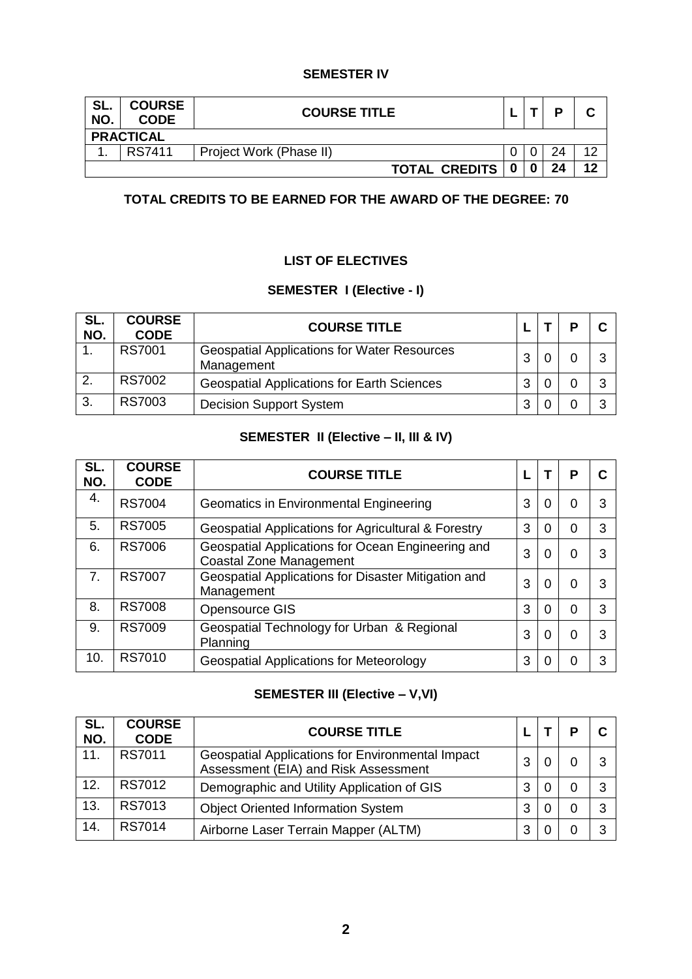#### **SEMESTER IV**

| SL.<br>NO. | <b>COURSE</b><br><b>CODE</b> | <b>COURSE TITLE</b>     |     |  | D  |    |  |  |
|------------|------------------------------|-------------------------|-----|--|----|----|--|--|
|            | <b>PRACTICAL</b>             |                         |     |  |    |    |  |  |
|            | RS7411                       | Project Work (Phase II) |     |  | 24 | 10 |  |  |
|            |                              | <b>TOTAL CREDITS</b>    | - 0 |  | 24 | 12 |  |  |

# **TOTAL CREDITS TO BE EARNED FOR THE AWARD OF THE DEGREE: 70**

#### **LIST OF ELECTIVES**

# **SEMESTER I (Elective - I)**

| SL.<br>NO.   | <b>COURSE</b><br><b>CODE</b> | <b>COURSE TITLE</b>                                              |   |  |  |
|--------------|------------------------------|------------------------------------------------------------------|---|--|--|
|              | <b>RS7001</b>                | <b>Geospatial Applications for Water Resources</b><br>Management | 3 |  |  |
| $\mathbf{2}$ | RS7002                       | <b>Geospatial Applications for Earth Sciences</b>                | 3 |  |  |
| 3.           | RS7003                       | <b>Decision Support System</b>                                   | 3 |  |  |

# **SEMESTER II (Elective – II, III & IV)**

| SL.<br>NO. | <b>COURSE</b><br><b>CODE</b> | <b>COURSE TITLE</b>                                                                 |   |   | Р |   |
|------------|------------------------------|-------------------------------------------------------------------------------------|---|---|---|---|
| 4.         | <b>RS7004</b>                | Geomatics in Environmental Engineering                                              | 3 | O | 0 |   |
| 5.         | <b>RS7005</b>                | Geospatial Applications for Agricultural & Forestry                                 | 3 | 0 |   | 3 |
| 6.         | <b>RS7006</b>                | Geospatial Applications for Ocean Engineering and<br><b>Coastal Zone Management</b> | 3 | 0 | 0 |   |
| 7.         | <b>RS7007</b>                | Geospatial Applications for Disaster Mitigation and<br>Management                   | 3 | 0 | O |   |
| 8.         | <b>RS7008</b>                | <b>Opensource GIS</b>                                                               | 3 |   |   | 3 |
| 9.         | RS7009                       | Geospatial Technology for Urban & Regional<br>Planning                              | 3 | ∩ | O |   |
| 10.        | RS7010                       | <b>Geospatial Applications for Meteorology</b>                                      | 3 |   |   |   |

# **SEMESTER III (Elective – V,VI)**

| SL.<br>NO. | <b>COURSE</b><br><b>CODE</b> | <b>COURSE TITLE</b>                                                                             |   |  |  |
|------------|------------------------------|-------------------------------------------------------------------------------------------------|---|--|--|
| 11.        | RS7011                       | <b>Geospatial Applications for Environmental Impact</b><br>Assessment (EIA) and Risk Assessment | 3 |  |  |
| 12.        | RS7012                       | Demographic and Utility Application of GIS                                                      | 3 |  |  |
| 13.        | RS7013                       | <b>Object Oriented Information System</b>                                                       | 3 |  |  |
| 14.        | <b>RS7014</b>                | Airborne Laser Terrain Mapper (ALTM)                                                            | 3 |  |  |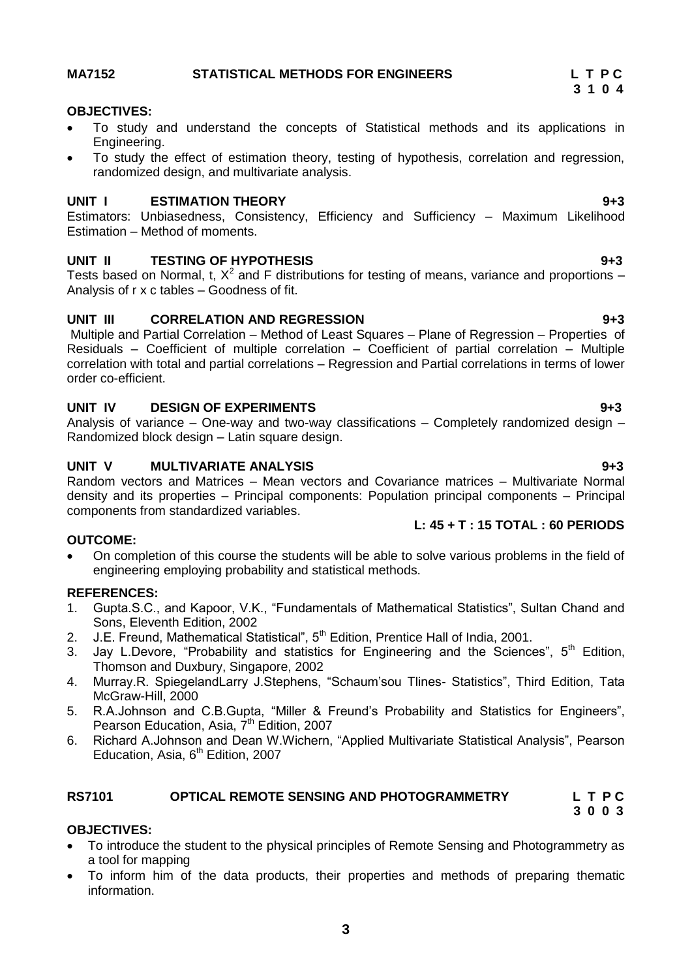# **3**

# <span id="page-2-0"></span>**MA7152 STATISTICAL METHODS FOR ENGINEERS L T P C**

#### **OBJECTIVES:**

- To study and understand the concepts of Statistical methods and its applications in Engineering.
- To study the effect of estimation theory, testing of hypothesis, correlation and regression, randomized design, and multivariate analysis.

#### **UNIT I ESTIMATION THEORY 9+3**

Estimators: Unbiasedness, Consistency, Efficiency and Sufficiency – Maximum Likelihood Estimation – Method of moments.

### **UNIT II TESTING OF HYPOTHESIS 9+3**

Tests based on Normal, t,  $X^2$  and F distributions for testing of means, variance and proportions – Analysis of r x c tables – Goodness of fit.

### **UNIT III CORRELATION AND REGRESSION 9+3**

Multiple and Partial Correlation – Method of Least Squares – Plane of Regression – Properties of Residuals – Coefficient of multiple correlation – Coefficient of partial correlation – Multiple correlation with total and partial correlations – Regression and Partial correlations in terms of lower order co-efficient.

#### **UNIT IV DESIGN OF EXPERIMENTS 9+3**

Analysis of variance – One-way and two-way classifications – Completely randomized design – Randomized block design – Latin square design.

#### **UNIT V MULTIVARIATE ANALYSIS 9+3**

Random vectors and Matrices – Mean vectors and Covariance matrices – Multivariate Normal density and its properties – Principal components: Population principal components – Principal components from standardized variables.

#### **OUTCOME:**

 On completion of this course the students will be able to solve various problems in the field of engineering employing probability and statistical methods.

### **REFERENCES:**

- 1. Gupta.S.C., and Kapoor, V.K., "Fundamentals of Mathematical Statistics", Sultan Chand and Sons, Eleventh Edition, 2002
- 2. J.E. Freund, Mathematical Statistical", 5<sup>th</sup> Edition, Prentice Hall of India, 2001.
- 3. Jay L.Devore, "Probability and statistics for Engineering and the Sciences",  $5<sup>th</sup>$  Edition, Thomson and Duxbury, Singapore, 2002
- 4. Murray.R. SpiegelandLarry J.Stephens, "Schaum"sou Tlines- Statistics", Third Edition, Tata McGraw-Hill, 2000
- 5. R.A.Johnson and C.B.Gupta, "Miller & Freund"s Probability and Statistics for Engineers", Pearson Education, Asia, 7<sup>th</sup> Edition, 2007
- 6. Richard A.Johnson and Dean W.Wichern, "Applied Multivariate Statistical Analysis", Pearson Education, Asia,  $6<sup>th</sup>$  Edition, 2007

#### <span id="page-2-1"></span>**RS7101 OPTICAL REMOTE SENSING AND PHOTOGRAMMETRY L T P C 3 0 0 3**

### **OBJECTIVES:**

- To introduce the student to the physical principles of Remote Sensing and Photogrammetry as a tool for mapping
- To inform him of the data products, their properties and methods of preparing thematic information.

 **L: 45 + T : 15 TOTAL : 60 PERIODS**

# **3 1 0 4**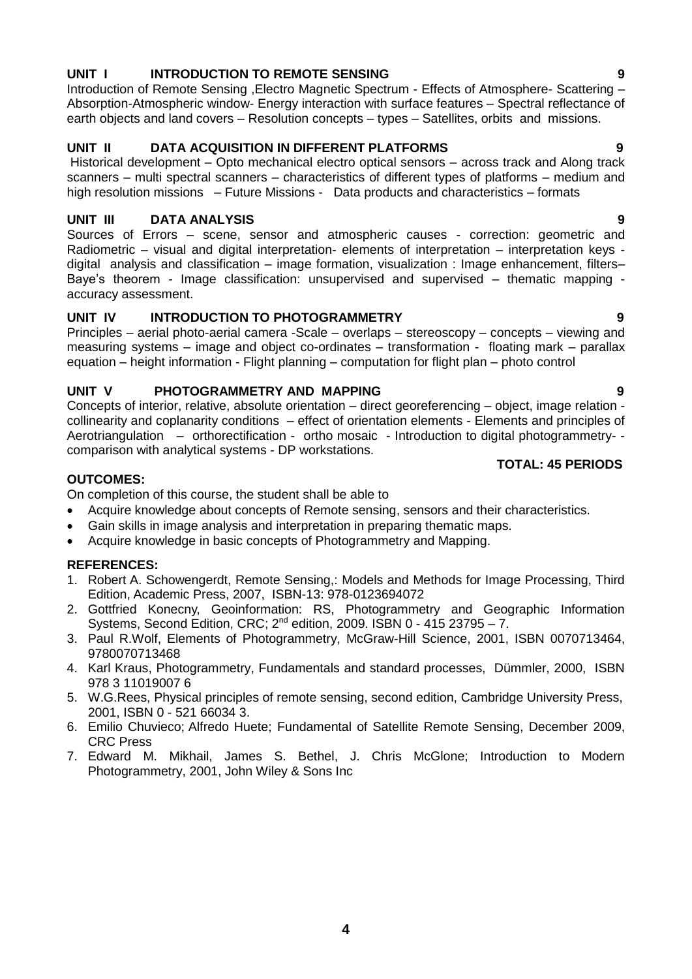#### **UNIT I INTRODUCTION TO REMOTE SENSING 9**

Introduction of Remote Sensing , Electro Magnetic Spectrum - Effects of Atmosphere- Scattering -Absorption-Atmospheric window- Energy interaction with surface features – Spectral reflectance of earth objects and land covers – Resolution concepts – types – Satellites, orbits and missions.

### **UNIT II DATA ACQUISITION IN DIFFERENT PLATFORMS 9**

Historical development – Opto mechanical electro optical sensors – across track and Along track scanners – multi spectral scanners – characteristics of different types of platforms – medium and high resolution missions – Future Missions - Data products and characteristics – formats

#### **UNIT III DATA ANALYSIS 9**

Sources of Errors – scene, sensor and atmospheric causes - correction: geometric and Radiometric – visual and digital interpretation- elements of interpretation – interpretation keys digital analysis and classification – image formation, visualization : Image enhancement, filters– Baye"s theorem - Image classification: unsupervised and supervised – thematic mapping accuracy assessment.

#### **UNIT IV INTRODUCTION TO PHOTOGRAMMETRY 9**

Principles – aerial photo-aerial camera -Scale – overlaps – stereoscopy – concepts – viewing and measuring systems – image and object co-ordinates – transformation - floating mark – parallax equation – height information - Flight planning – computation for flight plan – photo control

#### **UNIT V PHOTOGRAMMETRY AND MAPPING 9**

Concepts of interior, relative, absolute orientation – direct georeferencing – object, image relation collinearity and coplanarity conditions – effect of orientation elements - Elements and principles of Aerotriangulation – orthorectification - ortho mosaic - Introduction to digital photogrammetry- comparison with analytical systems - DP workstations.

#### **OUTCOMES:**

On completion of this course, the student shall be able to

- Acquire knowledge about concepts of Remote sensing, sensors and their characteristics.
- Gain skills in image analysis and interpretation in preparing thematic maps.
- Acquire knowledge in basic concepts of Photogrammetry and Mapping.

#### **REFERENCES:**

- 1. Robert A. [Schowengerdt,](http://www.amazon.com/Robert-A.-Schowengerdt/e/B001JRTQ1C/ref=ntt_athr_dp_pel_1) Remote Sensing,: Models and Methods for Image Processing, Third Edition, Academic Press, 2007, ISBN-13: 978-0123694072
- 2. Gottfried Konecny, Geoinformation: RS, Photogrammetry and Geographic Information Systems, Second Edition, CRC; 2nd edition, 2009. ISBN 0 - 415 23795 – 7.
- 3. Paul R.Wolf, Elements of Photogrammetry, McGraw-Hill Science, 2001, ISBN 0070713464, 9780070713468
- 4. Karl Kraus, Photogrammetry, Fundamentals and standard processes, Dümmler, 2000, ISBN 978 3 11019007 6
- 5. W.G.Rees, Physical principles of remote sensing, second edition, Cambridge University Press, 2001, ISBN 0 - 521 66034 3.
- 6. Emilio Chuvieco; Alfredo Huete; Fundamental of Satellite Remote Sensing, December 2009, CRC Press
- <span id="page-3-0"></span>7. Edward M. Mikhail, James S. Bethel, J. Chris McGlone; Introduction to Modern Photogrammetry, 2001, John Wiley & Sons Inc

#### **TOTAL: 45 PERIODS**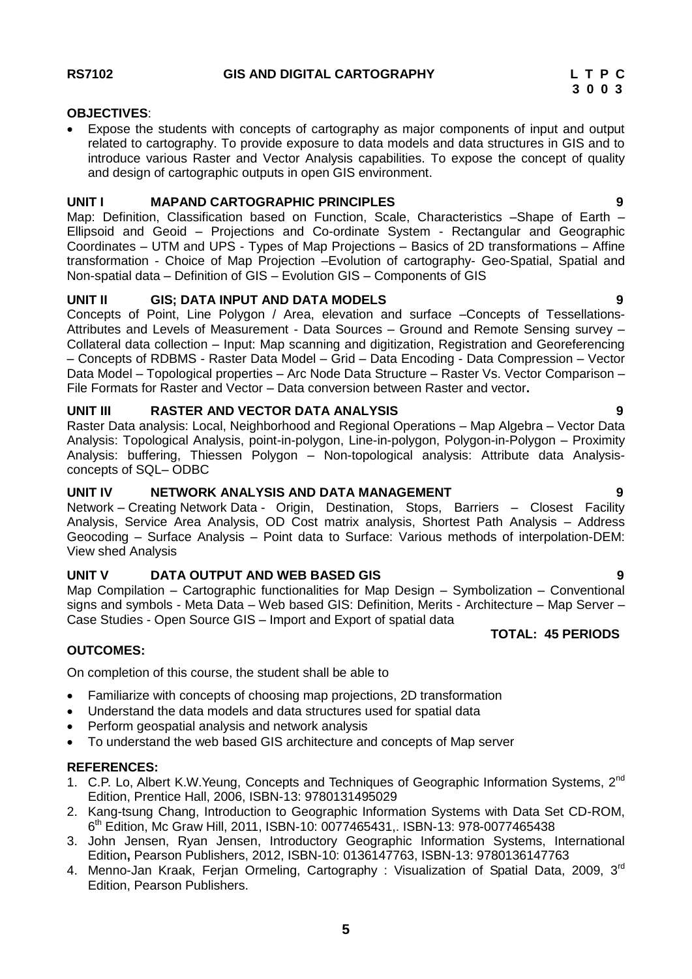#### **OBJECTIVES**:

 Expose the students with concepts of cartography as major components of input and output related to cartography. To provide exposure to data models and data structures in GIS and to introduce various Raster and Vector Analysis capabilities. To expose the concept of quality and design of cartographic outputs in open GIS environment.

#### **UNIT I MAPAND CARTOGRAPHIC PRINCIPLES 9**

Map: Definition, Classification based on Function, Scale, Characteristics –Shape of Earth – Ellipsoid and Geoid – Projections and Co-ordinate System - Rectangular and Geographic Coordinates – UTM and UPS - Types of Map Projections – Basics of 2D transformations – Affine transformation - Choice of Map Projection –Evolution of cartography- Geo-Spatial, Spatial and Non-spatial data – Definition of GIS – Evolution GIS – Components of GIS

#### **UNIT II GIS; DATA INPUT AND DATA MODELS 9**

Concepts of Point, Line Polygon / Area, elevation and surface –Concepts of Tessellations-Attributes and Levels of Measurement - Data Sources – Ground and Remote Sensing survey – Collateral data collection – Input: Map scanning and digitization, Registration and Georeferencing – Concepts of RDBMS - Raster Data Model – Grid – Data Encoding - Data Compression – Vector Data Model – Topological properties – Arc Node Data Structure – Raster Vs. Vector Comparison – File Formats for Raster and Vector – Data conversion between Raster and vector**.**

#### **UNIT III RASTER AND VECTOR DATA ANALYSIS 9**

Raster Data analysis: Local, Neighborhood and Regional Operations – Map Algebra – Vector Data Analysis: Topological Analysis, point-in-polygon, Line-in-polygon, Polygon-in-Polygon – Proximity Analysis: buffering, Thiessen Polygon – Non-topological analysis: Attribute data Analysisconcepts of SQL– ODBC

#### **UNIT IV NETWORK ANALYSIS AND DATA MANAGEMENT 9**

Network – Creating Network Data - Origin, Destination, Stops, Barriers – Closest Facility Analysis, Service Area Analysis, OD Cost matrix analysis, Shortest Path Analysis – Address Geocoding – Surface Analysis – Point data to Surface: Various methods of interpolation-DEM: View shed Analysis

#### **UNIT V DATA OUTPUT AND WEB BASED GIS 9**

Map Compilation – Cartographic functionalities for Map Design – Symbolization – Conventional signs and symbols - Meta Data – Web based GIS: Definition, Merits - Architecture – Map Server – Case Studies - Open Source GIS – Import and Export of spatial data

### **TOTAL: 45 PERIODS**

#### **OUTCOMES:**

On completion of this course, the student shall be able to

- Familiarize with concepts of choosing map projections, 2D transformation
- Understand the data models and data structures used for spatial data
- Perform geospatial analysis and network analysis
- To understand the web based GIS architecture and concepts of Map server

# **REFERENCES:**

- 1. C.P. Lo, Albert K.W. Yeung, Concepts and Techniques of Geographic Information Systems, 2<sup>nd</sup> Edition, Prentice Hall, 2006, ISBN-13: 9780131495029
- 2. Kang-tsung Chang, Introduction to Geographic Information Systems with Data Set CD-ROM, 6 th Edition, Mc Graw Hill, 2011, ISBN-10: 0077465431,. ISBN-13: 978-0077465438
- 3. John Jensen, Ryan Jensen, Introductory Geographic Information Systems, International Edition**,** Pearson Publishers, 2012, ISBN-10: 0136147763, ISBN-13: 9780136147763
- 4. Menno-Jan Kraak, Ferjan Ormeling, Cartography : Visualization of Spatial Data, 2009, 3<sup>rd</sup> Edition, Pearson Publishers.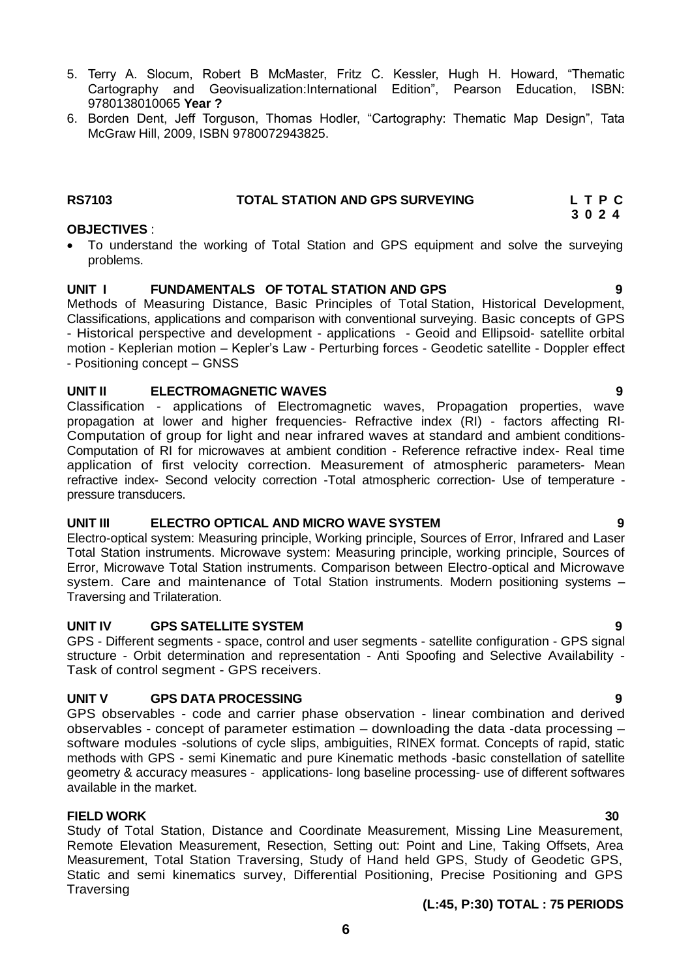# **OBJECTIVES** :

9780138010065 **Year ?**

<span id="page-5-0"></span>McGraw Hill, 2009, ISBN 9780072943825.

 To understand the working of Total Station and GPS equipment and solve the surveying problems.

5. Terry A. Slocum, Robert B McMaster, Fritz C. Kessler, Hugh H. Howard, "Thematic Cartography and Geovisualization:International Edition", Pearson Education, ISBN:

6. Borden Dent, Jeff Torguson, Thomas Hodler, "Cartography: Thematic Map Design", Tata

#### **UNIT I FUNDAMENTALS OF TOTAL STATION AND GPS 9**

Methods of Measuring Distance, Basic Principles of Total Station, Historical Development, Classifications, applications and comparison with conventional surveying. Basic concepts of GPS - Historical perspective and development - applications - Geoid and Ellipsoid- satellite orbital motion - Keplerian motion – Kepler"s Law - Perturbing forces - Geodetic satellite - Doppler effect - Positioning concept – GNSS

#### **UNIT II ELECTROMAGNETIC WAVES 9**

Classification - applications of Electromagnetic waves, Propagation properties, wave propagation at lower and higher frequencies- Refractive index (RI) - factors affecting RI-Computation of group for light and near infrared waves at standard and ambient conditions-Computation of RI for microwaves at ambient condition - Reference refractive index- Real time application of first velocity correction. Measurement of atmospheric parameters- Mean refractive index- Second velocity correction -Total atmospheric correction- Use of temperature pressure transducers.

#### **UNIT III ELECTRO OPTICAL AND MICRO WAVE SYSTEM 9**

Electro-optical system: Measuring principle, Working principle, Sources of Error, Infrared and Laser Total Station instruments. Microwave system: Measuring principle, working principle, Sources of Error, Microwave Total Station instruments. Comparison between Electro-optical and Microwave system. Care and maintenance of Total Station instruments. Modern positioning systems – Traversing and Trilateration.

#### **UNIT IV GPS SATELLITE SYSTEM 9**

GPS - Different segments - space, control and user segments - satellite configuration - GPS signal structure - Orbit determination and representation - Anti Spoofing and Selective Availability - Task of control segment - GPS receivers.

#### **UNIT V GPS DATA PROCESSING 9**

GPS observables - code and carrier phase observation - linear combination and derived observables - concept of parameter estimation – downloading the data -data processing – software modules -solutions of cycle slips, ambiguities, RINEX format. Concepts of rapid, static methods with GPS - semi Kinematic and pure Kinematic methods -basic constellation of satellite geometry & accuracy measures - applications- long baseline processing- use of different softwares available in the market.

#### **FIELD WORK 30**

Study of Total Station, Distance and Coordinate Measurement, Missing Line Measurement, Remote Elevation Measurement, Resection, Setting out: Point and Line, Taking Offsets, Area Measurement, Total Station Traversing, Study of Hand held GPS, Study of Geodetic GPS, Static and semi kinematics survey, Differential Positioning, Precise Positioning and GPS Traversing

### **(L:45, P:30) TOTAL : 75 PERIODS**

- **RS7103 TOTAL STATION AND GPS SURVEYING L T P C 3 0 2 4**
	-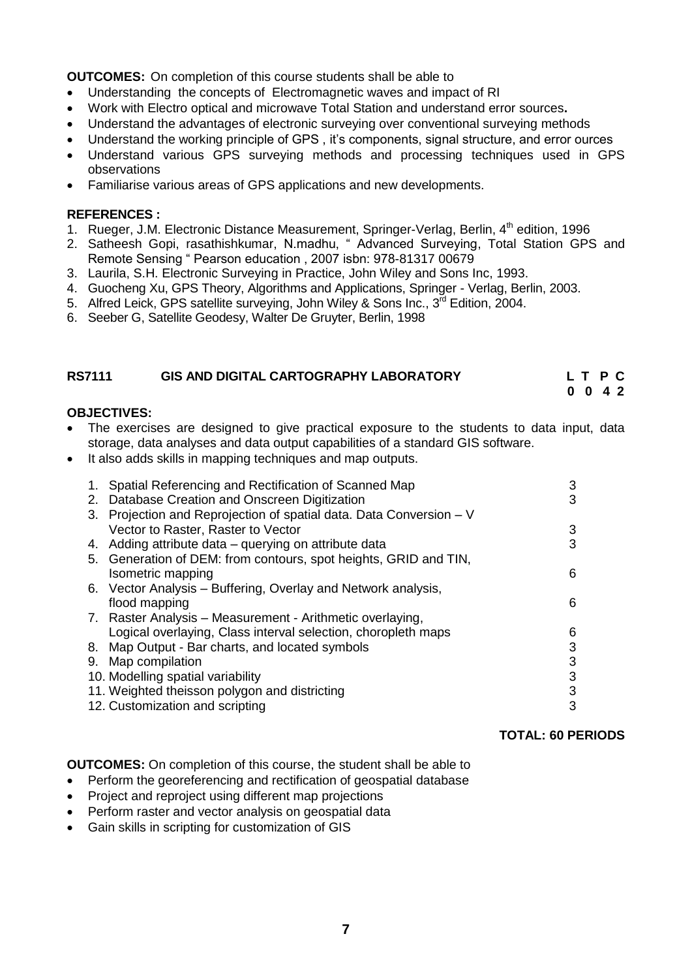**OUTCOMES:** On completion of this course students shall be able to

- Understanding the concepts of Electromagnetic waves and impact of RI
- Work with Electro optical and microwave Total Station and understand error sources**.**
- Understand the advantages of electronic surveying over conventional surveying methods
- Understand the working principle of GPS, it's components, signal structure, and error ources
- Understand various GPS surveying methods and processing techniques used in GPS observations
- Familiarise various areas of GPS applications and new developments.

#### **REFERENCES :**

- 1. Rueger, J.M. Electronic Distance Measurement, Springer-Verlag, Berlin, 4<sup>th</sup> edition, 1996
- 2. Satheesh Gopi, rasathishkumar, N.madhu, " Advanced Surveying, Total Station GPS and Remote Sensing " Pearson education , 2007 isbn: 978-81317 00679
- 3. Laurila, S.H. Electronic Surveying in Practice, John Wiley and Sons Inc, 1993.
- 4. Guocheng Xu, GPS Theory, Algorithms and Applications, Springer Verlag, Berlin, 2003.
- 5. Alfred Leick, GPS satellite surveying, John Wiley & Sons Inc.,  $3^{\bar{r}d}$  Edition, 2004.
- 6. Seeber G, Satellite Geodesy, Walter De Gruyter, Berlin, 1998

#### **RS7111 GIS AND DIGITAL CARTOGRAPHY LABORATORY L T P C**

<span id="page-6-0"></span> **0 0 4 2**

#### **OBJECTIVES:**

- The exercises are designed to give practical exposure to the students to data input, data storage, data analyses and data output capabilities of a standard GIS software.
- It also adds skills in mapping techniques and map outputs.

| 1. | Spatial Referencing and Rectification of Scanned Map                | 3 |
|----|---------------------------------------------------------------------|---|
|    | 2. Database Creation and Onscreen Digitization                      | 3 |
|    | 3. Projection and Reprojection of spatial data. Data Conversion – V |   |
|    | Vector to Raster, Raster to Vector                                  | 3 |
|    | 4. Adding attribute data – querying on attribute data               | 3 |
|    | 5. Generation of DEM: from contours, spot heights, GRID and TIN,    |   |
|    | Isometric mapping                                                   | 6 |
|    | 6. Vector Analysis – Buffering, Overlay and Network analysis,       |   |
|    | flood mapping                                                       | 6 |
|    | 7. Raster Analysis - Measurement - Arithmetic overlaying,           |   |
|    | Logical overlaying, Class interval selection, choropleth maps       | 6 |
|    | 8. Map Output - Bar charts, and located symbols                     | 3 |
|    | 9. Map compilation                                                  | 3 |
|    | 10. Modelling spatial variability                                   | 3 |
|    | 11. Weighted theisson polygon and districting                       | 3 |
|    | 12. Customization and scripting                                     | 3 |

#### **TOTAL: 60 PERIODS**

**OUTCOMES:** On completion of this course, the student shall be able to

- Perform the georeferencing and rectification of geospatial database
- Project and reproject using different map projections
- Perform raster and vector analysis on geospatial data
- Gain skills in scripting for customization of GIS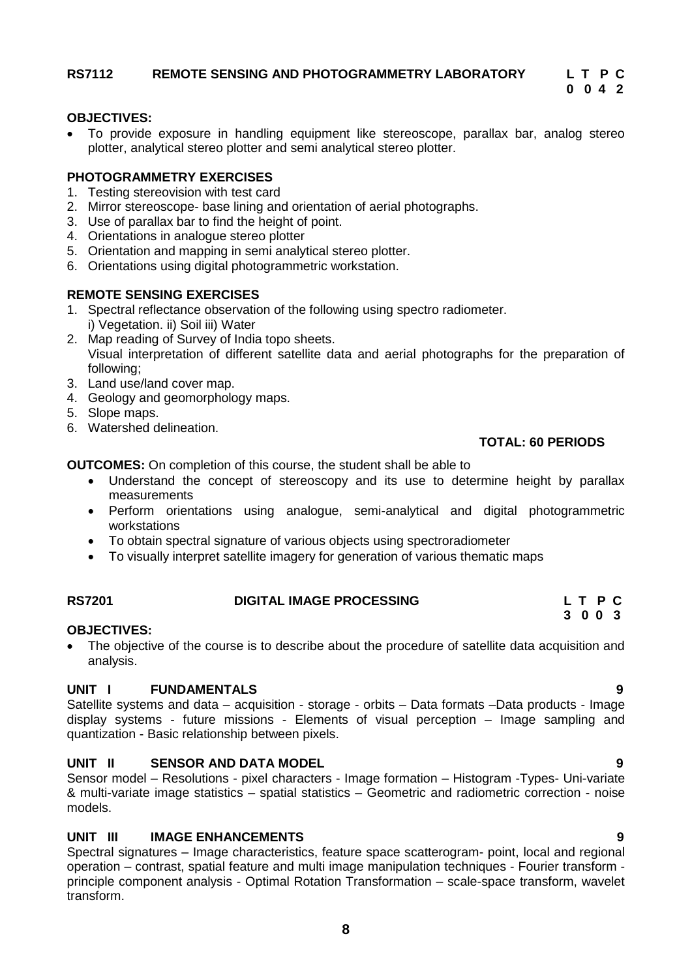#### <span id="page-7-0"></span>**RS7112 REMOTE SENSING AND PHOTOGRAMMETRY LABORATORY L T P C 0 0 4 2**

# **OBJECTIVES:**

 To provide exposure in handling equipment like stereoscope, parallax bar, analog stereo plotter, analytical stereo plotter and semi analytical stereo plotter.

# **PHOTOGRAMMETRY EXERCISES**

- 1. Testing stereovision with test card
- 2. Mirror stereoscope- base lining and orientation of aerial photographs.
- 3. Use of parallax bar to find the height of point.
- 4. Orientations in analogue stereo plotter
- 5. Orientation and mapping in semi analytical stereo plotter.
- 6. Orientations using digital photogrammetric workstation.

# **REMOTE SENSING EXERCISES**

- 1. Spectral reflectance observation of the following using spectro radiometer. i) Vegetation. ii) Soil iii) Water
- 2. Map reading of Survey of India topo sheets. Visual interpretation of different satellite data and aerial photographs for the preparation of following;
- 3. Land use/land cover map.
- 4. Geology and geomorphology maps.
- 5. Slope maps.
- 6. Watershed delineation.

# **TOTAL: 60 PERIODS**

**OUTCOMES:** On completion of this course, the student shall be able to

- Understand the concept of stereoscopy and its use to determine height by parallax measurements
- Perform orientations using analogue, semi-analytical and digital photogrammetric workstations
- To obtain spectral signature of various objects using spectroradiometer
- <span id="page-7-1"></span>To visually interpret satellite imagery for generation of various thematic maps

#### **3 0 0 3 OBJECTIVES:**

 The objective of the course is to describe about the procedure of satellite data acquisition and analysis.

**RS7201 DIGITAL IMAGE PROCESSING L T P C**

# **UNIT I FUNDAMENTALS 9**

Satellite systems and data – acquisition - storage - orbits – Data formats –Data products - Image display systems - future missions - Elements of visual perception – Image sampling and quantization - Basic relationship between pixels.

# **UNIT II SENSOR AND DATA MODEL 9**

Sensor model – Resolutions - pixel characters - Image formation – Histogram -Types- Uni-variate & multi-variate image statistics – spatial statistics – Geometric and radiometric correction - noise models.

# **UNIT III IMAGE ENHANCEMENTS 9**

Spectral signatures – Image characteristics, feature space scatterogram- point, local and regional operation – contrast, spatial feature and multi image manipulation techniques - Fourier transform principle component analysis - Optimal Rotation Transformation – scale-space transform, wavelet transform.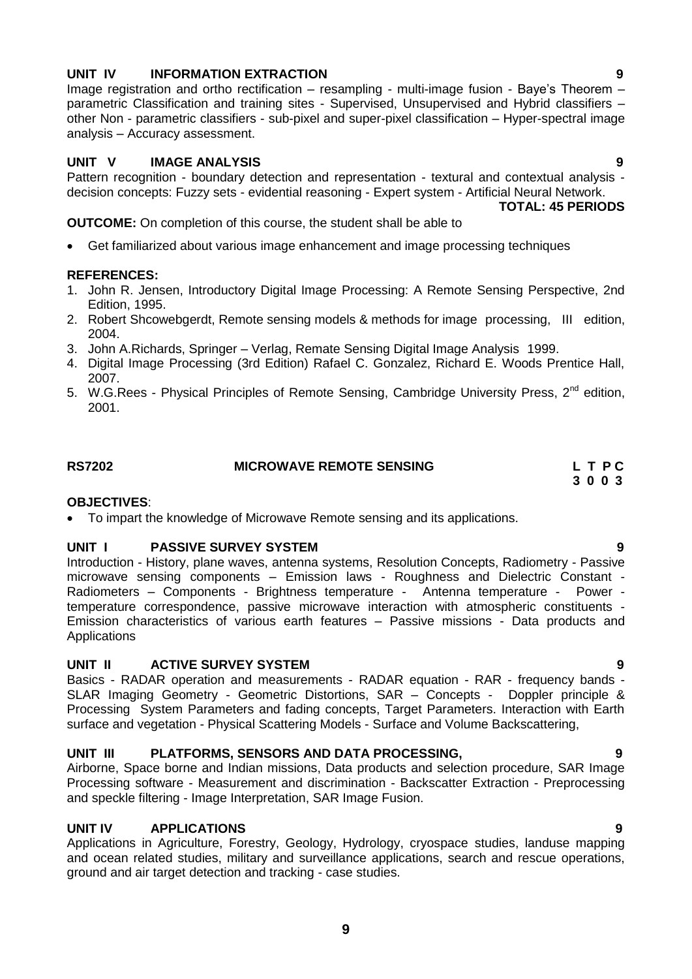### **UNIT IV INFORMATION EXTRACTION 9**

Image registration and ortho rectification – resampling - multi-image fusion - Baye's Theorem – parametric Classification and training sites - Supervised, Unsupervised and Hybrid classifiers – other Non - parametric classifiers - sub-pixel and super-pixel classification – Hyper-spectral image analysis – Accuracy assessment.

#### **UNIT V IMAGE ANALYSIS 9**

Pattern recognition - boundary detection and representation - textural and contextual analysis decision concepts: Fuzzy sets - evidential reasoning - Expert system - Artificial Neural Network.

**TOTAL: 45 PERIODS** 

**OUTCOME:** On completion of this course, the student shall be able to

Get familiarized about various image enhancement and image processing techniques

#### **REFERENCES:**

- 1. John R. Jensen, Introductory Digital Image Processing: A Remote Sensing Perspective, 2nd Edition, 1995.
- 2. Robert Shcowebgerdt, Remote sensing models & methods for image processing, III edition, 2004.
- 3. John A.Richards, Springer Verlag, Remate Sensing Digital Image Analysis 1999.
- 4. Digital Image Processing (3rd Edition) Rafael C. Gonzalez, Richard E. Woods Prentice Hall, 2007.
- 5. W.G.Rees Physical Principles of Remote Sensing, Cambridge University Press, 2<sup>nd</sup> edition, 2001.

**RS7202 MICROWAVE REMOTE SENSING L T P C** 

<span id="page-8-0"></span> **3 0 0 3**

# **OBJECTIVES**:

To impart the knowledge of Microwave Remote sensing and its applications.

#### **UNIT I PASSIVE SURVEY SYSTEM 9**

Introduction - History, plane waves, antenna systems, Resolution Concepts, Radiometry - Passive microwave sensing components – Emission laws - Roughness and Dielectric Constant - Radiometers – Components - Brightness temperature - Antenna temperature - Power temperature correspondence, passive microwave interaction with atmospheric constituents - Emission characteristics of various earth features – Passive missions - Data products and **Applications** 

#### **UNIT II ACTIVE SURVEY SYSTEM 9**

Basics - RADAR operation and measurements - RADAR equation - RAR - frequency bands - SLAR Imaging Geometry - Geometric Distortions, SAR – Concepts - Doppler principle & Processing System Parameters and fading concepts, Target Parameters. Interaction with Earth surface and vegetation - Physical Scattering Models - Surface and Volume Backscattering,

#### **UNIT III PLATFORMS, SENSORS AND DATA PROCESSING, 9**

Airborne, Space borne and Indian missions, Data products and selection procedure, SAR Image Processing software - Measurement and discrimination - Backscatter Extraction - Preprocessing and speckle filtering - Image Interpretation, SAR Image Fusion.

#### **UNIT IV APPLICATIONS 9**

Applications in Agriculture, Forestry, Geology, Hydrology, cryospace studies, landuse mapping and ocean related studies, military and surveillance applications, search and rescue operations, ground and air target detection and tracking - case studies.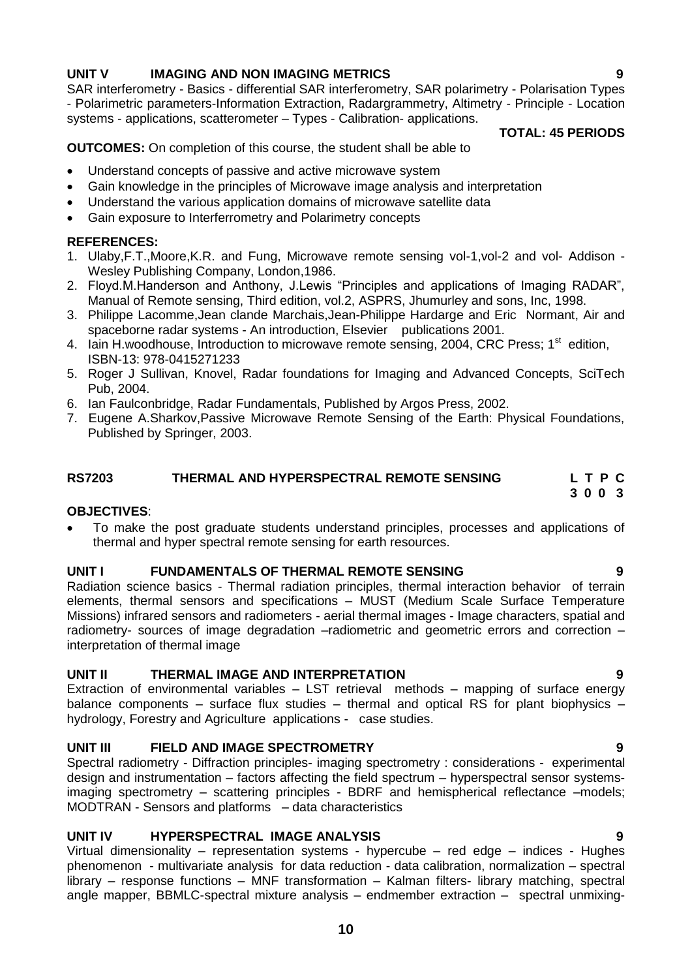#### **UNIT V IMAGING AND NON IMAGING METRICS 9**

SAR interferometry - Basics - differential SAR interferometry, SAR polarimetry - Polarisation Types - Polarimetric parameters-Information Extraction, Radargrammetry, Altimetry - Principle - Location systems - applications, scatterometer – Types - Calibration- applications.

 **TOTAL: 45 PERIODS**

**OUTCOMES:** On completion of this course, the student shall be able to

- Understand concepts of passive and active microwave system
- Gain knowledge in the principles of Microwave image analysis and interpretation
- Understand the various application domains of microwave satellite data
- Gain exposure to Interferrometry and Polarimetry concepts

#### **REFERENCES:**

- 1. Ulaby,F.T.,Moore,K.R. and Fung, Microwave remote sensing vol-1,vol-2 and vol- Addison Wesley Publishing Company, London,1986.
- 2. Floyd.M.Handerson and Anthony, J.Lewis "Principles and applications of Imaging RADAR", Manual of Remote sensing, Third edition, vol.2, ASPRS, Jhumurley and sons, Inc, 1998.
- 3. Philippe Lacomme,Jean clande Marchais,Jean-Philippe Hardarge and Eric Normant, Air and spaceborne radar systems - An introduction, Elsevier publications 2001.
- 4. Iain H.woodhouse, Introduction to microwave remote sensing, 2004, CRC Press; 1<sup>st</sup> edition, ISBN-13: 978-0415271233
- 5. Roger J Sullivan, Knovel, Radar foundations for Imaging and Advanced Concepts, SciTech Pub, 2004.
- 6. Ian Faulconbridge, Radar Fundamentals, Published by Argos Press, 2002.
- 7. Eugene A.Sharkov,Passive Microwave Remote Sensing of the Earth: Physical Foundations, Published by Springer, 2003.

#### <span id="page-9-0"></span>**RS7203 THERMAL AND HYPERSPECTRAL REMOTE SENSING L T P C 3 0 0 3**

#### **OBJECTIVES**:

 To make the post graduate students understand principles, processes and applications of thermal and hyper spectral remote sensing for earth resources.

#### **UNIT I FUNDAMENTALS OF THERMAL REMOTE SENSING 9**

Radiation science basics - Thermal radiation principles, thermal interaction behavior of terrain elements, thermal sensors and specifications – MUST (Medium Scale Surface Temperature Missions) infrared sensors and radiometers - aerial thermal images - Image characters, spatial and radiometry- sources of image degradation –radiometric and geometric errors and correction – interpretation of thermal image

#### **UNIT II THERMAL IMAGE AND INTERPRETATION 9**

Extraction of environmental variables – LST retrieval methods – mapping of surface energy balance components – surface flux studies – thermal and optical RS for plant biophysics – hydrology, Forestry and Agriculture applications - case studies.

### **UNIT III FIELD AND IMAGE SPECTROMETRY 9**

Spectral radiometry - Diffraction principles- imaging spectrometry : considerations - experimental design and instrumentation – factors affecting the field spectrum – hyperspectral sensor systemsimaging spectrometry – scattering principles - BDRF and hemispherical reflectance –models; MODTRAN - Sensors and platforms – data characteristics

### **UNIT IV HYPERSPECTRAL IMAGE ANALYSIS 9**

Virtual dimensionality – representation systems - hypercube – red edge – indices - Hughes phenomenon - multivariate analysis for data reduction - data calibration, normalization – spectral library – response functions – MNF transformation – Kalman filters- library matching, spectral angle mapper, BBMLC-spectral mixture analysis – endmember extraction – spectral unmixing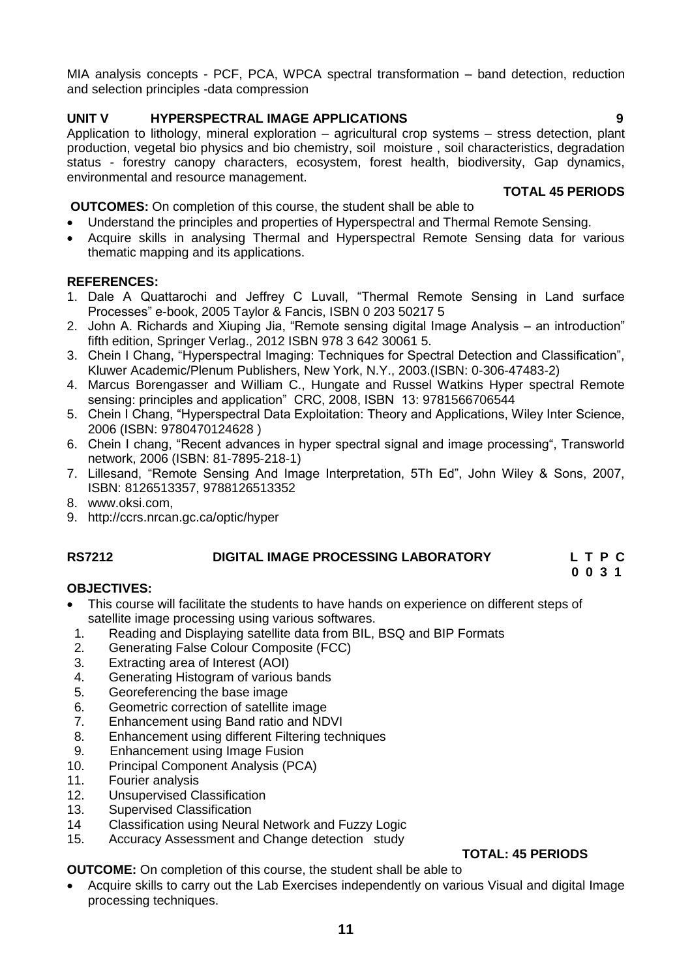MIA analysis concepts - PCF, PCA, WPCA spectral transformation – band detection, reduction and selection principles -data compression

## **UNIT V HYPERSPECTRAL IMAGE APPLICATIONS 9**

Application to lithology, mineral exploration – agricultural crop systems – stress detection, plant production, vegetal bio physics and bio chemistry, soil moisture , soil characteristics, degradation status - forestry canopy characters, ecosystem, forest health, biodiversity, Gap dynamics, environmental and resource management.

#### **TOTAL 45 PERIODS**

**OUTCOMES:** On completion of this course, the student shall be able to

- Understand the principles and properties of Hyperspectral and Thermal Remote Sensing.
- Acquire skills in analysing Thermal and Hyperspectral Remote Sensing data for various thematic mapping and its applications.

#### **REFERENCES:**

- 1. Dale A Quattarochi and Jeffrey C Luvall, "Thermal Remote Sensing in Land surface Processes" e-book, 2005 Taylor & Fancis, ISBN 0 203 50217 5
- 2. John A. Richards and Xiuping Jia, "Remote sensing digital Image Analysis an introduction" fifth edition, Springer Verlag., 2012 ISBN 978 3 642 30061 5.
- 3. Chein I Chang, "Hyperspectral Imaging: Techniques for Spectral Detection and Classification", Kluwer Academic/Plenum Publishers, New York, N.Y., 2003.(ISBN: 0-306-47483-2)
- 4. Marcus Borengasser and William C., Hungate and Russel Watkins Hyper spectral Remote sensing: principles and application" CRC, 2008, ISBN 13: 9781566706544
- 5. Chein I Chang, "Hyperspectral Data Exploitation: Theory and Applications, Wiley Inter Science, 2006 (ISBN: 9780470124628 )
- 6. Chein I chang, "Recent advances in hyper spectral signal and image processing", Transworld network, 2006 (ISBN: 81-7895-218-1)
- 7. Lillesand, "Remote Sensing And Image Interpretation, 5Th Ed", John Wiley & Sons, 2007, ISBN: 8126513357, 9788126513352
- 8. [www.oksi.com,](http://www.oksi.com/)
- 9. http://ccrs.nrcan.gc.ca/optic/hyper

# <span id="page-10-0"></span>**RS7212 DIGITAL IMAGE PROCESSING LABORATORY L T P C**

 **0 0 3 1**

#### **OBJECTIVES:**

- This course will facilitate the students to have hands on experience on different steps of satellite image processing using various softwares.
- 1. Reading and Displaying satellite data from BIL, BSQ and BIP Formats
- 2. Generating False Colour Composite (FCC)
- 3. Extracting area of Interest (AOI)
- 4. Generating Histogram of various bands
- 5. Georeferencing the base image
- 6. Geometric correction of satellite image
- 7. Enhancement using Band ratio and NDVI
- 8. Enhancement using different Filtering techniques
- 9. Enhancement using Image Fusion
- 10. Principal Component Analysis (PCA)
- 11. Fourier analysis<br>12. Unsupervised C
- Unsupervised Classification
- 13. Supervised Classification
- 14 Classification using Neural Network and Fuzzy Logic
- 15. Accuracy Assessment and Change detection study

# **TOTAL: 45 PERIODS**

**OUTCOME:** On completion of this course, the student shall be able to

 Acquire skills to carry out the Lab Exercises independently on various Visual and digital Image processing techniques.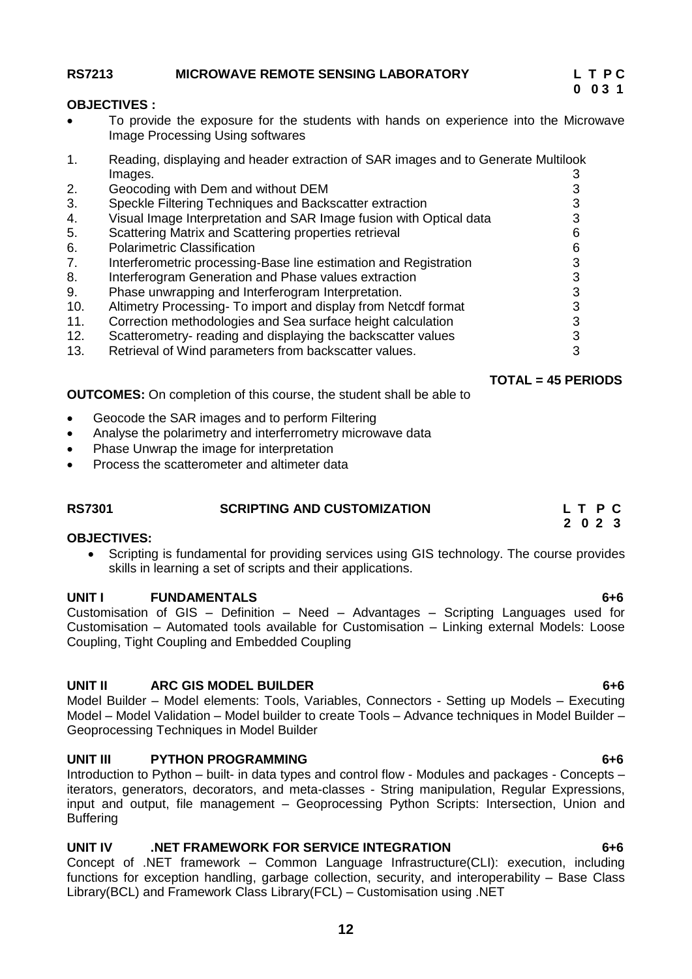#### <span id="page-11-0"></span>**RS7213 MICROWAVE REMOTE SENSING LABORATORY L T P C**

#### **OBJECTIVES :**

- To provide the exposure for the students with hands on experience into the Microwave Image Processing Using softwares
- 1. Reading, displaying and header extraction of SAR images and to Generate Multilook Images. 3
- 2. Geocoding with Dem and without DEM 3 3. Speckle Filtering Techniques and Backscatter extraction 3 4. Visual Image Interpretation and SAR Image fusion with Optical data 3 5. Scattering Matrix and Scattering properties retrieval 6 6. Polarimetric Classification 6 7. Interferometric processing-Base line estimation and Registration 3<br>8. Interferogram Generation and Phase values extraction 3 8. Interferogram Generation and Phase values extraction 9. Phase unwrapping and Interferogram Interpretation. 3 10. Altimetry Processing- To import and display from Netcdf format 3 11. Correction methodologies and Sea surface height calculation 3 12. Scatterometry- reading and displaying the backscatter values 3
- 13. Retrieval of Wind parameters from backscatter values.

 **TOTAL = 45 PERIODS**

**OUTCOMES:** On completion of this course, the student shall be able to

- Geocode the SAR images and to perform Filtering
- Analyse the polarimetry and interferrometry microwave data
- Phase Unwrap the image for interpretation
- Process the scatterometer and altimeter data

#### **RS7301 SCRIPTING AND CUSTOMIZATION L T P C 2 0 2 3**

#### **OBJECTIVES:**

<span id="page-11-1"></span>• Scripting is fundamental for providing services using GIS technology. The course provides skills in learning a set of scripts and their applications.

#### **UNIT I FUNDAMENTALS 6+6**

Customisation of GIS – Definition – Need – Advantages – Scripting Languages used for Customisation – Automated tools available for Customisation – Linking external Models: Loose Coupling, Tight Coupling and Embedded Coupling

#### **UNIT II ARC GIS MODEL BUILDER 6+6**

Model Builder – Model elements: Tools, Variables, Connectors - Setting up Models – Executing Model – Model Validation – Model builder to create Tools – Advance techniques in Model Builder – Geoprocessing Techniques in Model Builder

#### **UNIT III PYTHON PROGRAMMING 6+6**

Introduction to Python – built- in data types and control flow - Modules and packages - Concepts – iterators, generators, decorators, and meta-classes - String manipulation, Regular Expressions, input and output, file management – Geoprocessing Python Scripts: Intersection, Union and **Buffering** 

#### **UNIT IV .NET FRAMEWORK FOR SERVICE INTEGRATION 6+6**

Concept of .NET framework – Common Language Infrastructure(CLI): execution, including functions for exception handling, garbage collection, security, and interoperability – Base Class Library(BCL) and Framework Class Library(FCL) – Customisation using .NET

# **0 0 3 1**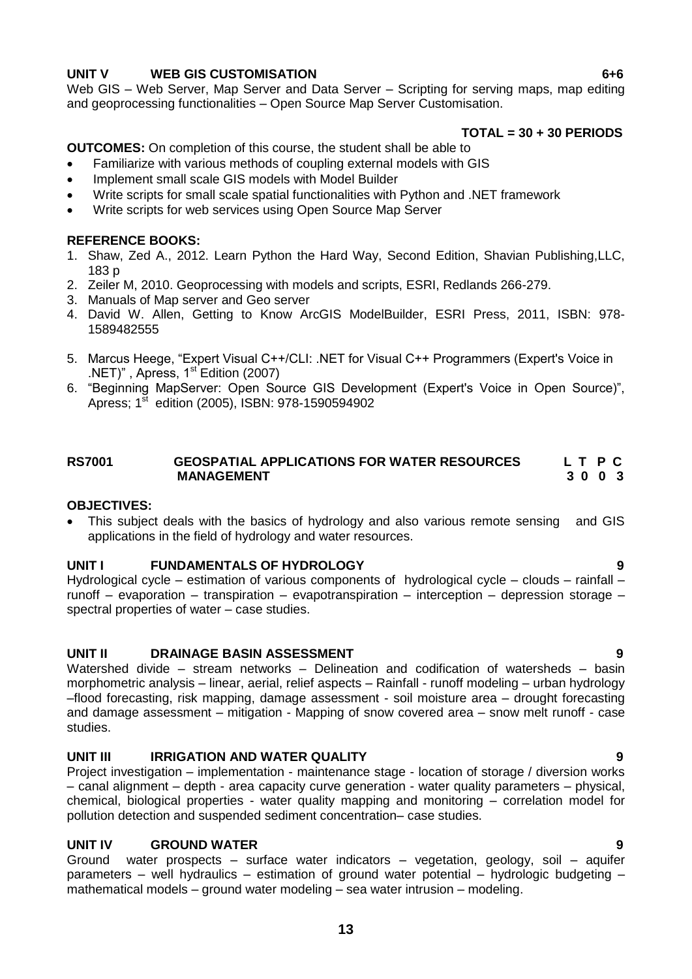#### **UNIT V WEB GIS CUSTOMISATION 6+6**

Web GIS – Web Server, Map Server and Data Server – Scripting for serving maps, map editing and geoprocessing functionalities – Open Source Map Server Customisation.

#### **TOTAL = 30 + 30 PERIODS**

**OUTCOMES:** On completion of this course, the student shall be able to

- Familiarize with various methods of coupling external models with GIS
- Implement small scale GIS models with Model Builder
- Write scripts for small scale spatial functionalities with Python and .NET framework
- Write scripts for web services using Open Source Map Server

#### **REFERENCE BOOKS:**

- 1. Shaw, Zed A., 2012. Learn Python the Hard Way, Second Edition, Shavian Publishing,LLC, 183 p
- 2. Zeiler M, 2010. Geoprocessing with models and scripts, ESRI, Redlands 266-279.
- 3. Manuals of Map server and Geo server
- 4. David W. Allen, Getting to Know ArcGIS ModelBuilder, ESRI Press, 2011, ISBN: 978- 1589482555
- 5. Marcus Heege, "Expert Visual C++/CLI: .NET for Visual C++ Programmers (Expert's Voice in .NET)", Apress,  $1<sup>st</sup>$  Edition (2007)
- 6. "Beginning MapServer: Open Source GIS Development (Expert's Voice in Open Source)", Apress; 1st edition (2005), ISBN: 978-1590594902

#### RS7001 **GEOSPATIAL APPLICATIONS FOR WATER RESOURCES** L T P C<br>MANAGEMENT 3 0 0 3 **MANAGEMENT**

#### **OBJECTIVES:**

 This subject deals with the basics of hydrology and also various remote sensing and GIS applications in the field of hydrology and water resources.

#### **UNIT I FUNDAMENTALS OF HYDROLOGY 9**

Hydrological cycle – estimation of various components of hydrological cycle – clouds – rainfall – runoff – evaporation – transpiration – evapotranspiration – interception – depression storage – spectral properties of water – case studies.

#### **UNIT II DRAINAGE BASIN ASSESSMENT 9**

Watershed divide – stream networks – Delineation and codification of watersheds – basin morphometric analysis – linear, aerial, relief aspects – Rainfall - runoff modeling – urban hydrology –flood forecasting, risk mapping, damage assessment - soil moisture area – drought forecasting and damage assessment – mitigation - Mapping of snow covered area – snow melt runoff - case studies.

#### **UNIT III IRRIGATION AND WATER QUALITY 9**

Project investigation – implementation - maintenance stage - location of storage / diversion works – canal alignment – depth - area capacity curve generation - water quality parameters – physical, chemical, biological properties - water quality mapping and monitoring – correlation model for pollution detection and suspended sediment concentration– case studies.

#### **UNIT IV GROUND WATER 9**

Ground water prospects – surface water indicators – vegetation, geology, soil – aquifer parameters – well hydraulics – estimation of ground water potential – hydrologic budgeting – mathematical models – ground water modeling – sea water intrusion – modeling.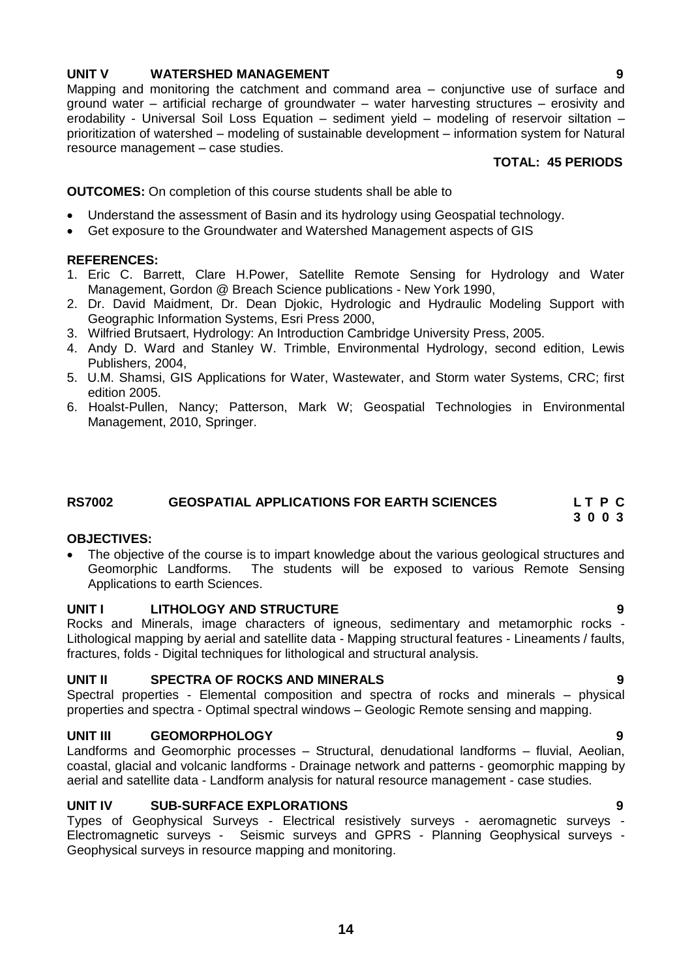#### **UNIT V WATERSHED MANAGEMENT 9**

Mapping and monitoring the catchment and command area – conjunctive use of surface and ground water – artificial recharge of groundwater – water harvesting structures – erosivity and erodability - Universal Soil Loss Equation – sediment yield – modeling of reservoir siltation – prioritization of watershed – modeling of sustainable development – information system for Natural resource management – case studies.

### **TOTAL: 45 PERIODS**

**OUTCOMES:** On completion of this course students shall be able to

- Understand the assessment of Basin and its hydrology using Geospatial technology.
- Get exposure to the Groundwater and Watershed Management aspects of GIS

#### **REFERENCES:**

- 1. Eric C. Barrett, Clare H.Power, Satellite Remote Sensing for Hydrology and Water Management, Gordon @ Breach Science publications - New York 1990,
- 2. Dr. David Maidment, Dr. Dean Djokic, Hydrologic and Hydraulic Modeling Support with Geographic Information Systems, Esri Press 2000,
- 3. Wilfried Brutsaert, Hydrology: An Introduction Cambridge University Press, 2005.
- 4. Andy D. Ward and Stanley W. Trimble, Environmental Hydrology, second edition, Lewis Publishers, 2004,
- 5. U.M. Shamsi, GIS Applications for Water, Wastewater, and Storm water Systems, CRC; first edition 2005.
- 6. Hoalst-Pullen, Nancy; Patterson, Mark W; Geospatial Technologies in Environmental Management, 2010, Springer.

#### **RS7002 GEOSPATIAL APPLICATIONS FOR EARTH SCIENCES L T P C 3 0 0 3**

#### **OBJECTIVES:**

• The objective of the course is to impart knowledge about the various geological structures and Geomorphic Landforms. The students will be exposed to various Remote Sensing Applications to earth Sciences.

#### **UNIT I LITHOLOGY AND STRUCTURE 9**

Rocks and Minerals, image characters of igneous, sedimentary and metamorphic rocks - Lithological mapping by aerial and satellite data - Mapping structural features - Lineaments / faults, fractures, folds - Digital techniques for lithological and structural analysis.

#### **UNIT II SPECTRA OF ROCKS AND MINERALS 9**

Spectral properties - Elemental composition and spectra of rocks and minerals – physical properties and spectra - Optimal spectral windows – Geologic Remote sensing and mapping.

#### **UNIT III GEOMORPHOLOGY 9**

Landforms and Geomorphic processes – Structural, denudational landforms – fluvial, Aeolian, coastal, glacial and volcanic landforms - Drainage network and patterns - geomorphic mapping by aerial and satellite data - Landform analysis for natural resource management - case studies.

#### **UNIT IV SUB-SURFACE EXPLORATIONS 9**

Types of Geophysical Surveys - Electrical resistively surveys - aeromagnetic surveys - Electromagnetic surveys - Seismic surveys and GPRS - Planning Geophysical surveys - Geophysical surveys in resource mapping and monitoring.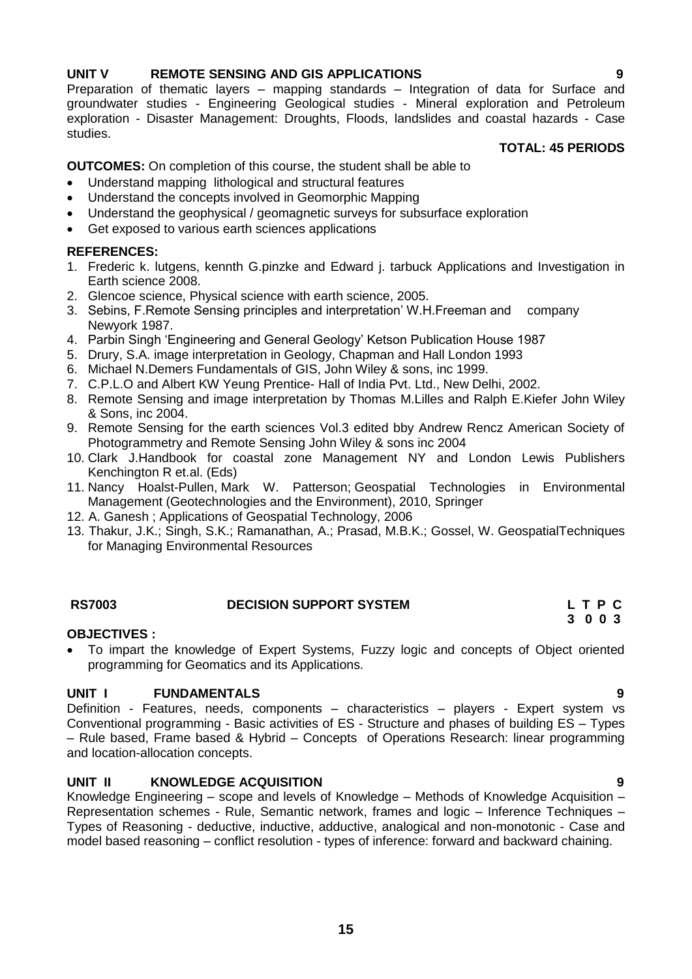### **UNIT V REMOTE SENSING AND GIS APPLICATIONS 9**

Preparation of thematic layers – mapping standards – Integration of data for Surface and groundwater studies - Engineering Geological studies - Mineral exploration and Petroleum exploration - Disaster Management: Droughts, Floods, landslides and coastal hazards - Case studies.

#### **TOTAL: 45 PERIODS**

**OUTCOMES:** On completion of this course, the student shall be able to

- Understand mapping lithological and structural features
- Understand the concepts involved in Geomorphic Mapping
- Understand the geophysical / geomagnetic surveys for subsurface exploration
- Get exposed to various earth sciences applications

#### **REFERENCES:**

- 1. Frederic k. lutgens, kennth G.pinzke and Edward j. tarbuck Applications and Investigation in Earth science 2008.
- 2. Glencoe science, Physical science with earth science, 2005.
- 3. Sebins, F.Remote Sensing principles and interpretation" W.H.Freeman and company Newyork 1987.
- 4. Parbin Singh "Engineering and General Geology" Ketson Publication House 1987
- 5. Drury, S.A. image interpretation in Geology, Chapman and Hall London 1993
- 6. Michael N.Demers Fundamentals of GIS, John Wiley & sons, inc 1999.
- 7. C.P.L.O and Albert KW Yeung Prentice- Hall of India Pvt. Ltd., New Delhi, 2002.
- 8. Remote Sensing and image interpretation by Thomas M.Lilles and Ralph E.Kiefer John Wiley & Sons, inc 2004.
- 9. Remote Sensing for the earth sciences Vol.3 edited bby Andrew Rencz American Society of Photogrammetry and Remote Sensing John Wiley & sons inc 2004
- 10. Clark J.Handbook for coastal zone Management NY and London Lewis Publishers Kenchington R et.al. (Eds)
- 11. [Nancy Hoalst-Pullen,](http://www.amazon.com/s/ref=ntt_athr_dp_sr_1?_encoding=UTF8&field-author=Nancy%20Hoalst-Pullen&ie=UTF8&search-alias=books&sort=relevancerank) [Mark W. Patterson;](http://www.amazon.com/s/ref=ntt_athr_dp_sr_2?_encoding=UTF8&field-author=Mark%20W.%20Patterson&ie=UTF8&search-alias=books&sort=relevancerank) Geospatial Technologies in Environmental Management (Geotechnologies and the Environment), 2010, Springer
- 12. A. Ganesh ; [Applications of Geospatial Technology,](http://www.amazon.com/Applications-Geospatial-Technology-Ganesh/dp/8189304259/ref=sr_1_6?s=books&ie=UTF8&qid=1357624157&sr=1-6&keywords=geospatial+applications+for+earth+sciences) 2006
- 13. Thakur, J.K.; Singh, S.K.; Ramanathan, A.; Prasad, M.B.K.; Gossel, W. GeospatialTechniques for Managing Environmental Resources

#### **RS7003 DECISION SUPPORT SYSTEM L T P C**

# **3 0 0 3**

### **OBJECTIVES :**

 To impart the knowledge of Expert Systems, Fuzzy logic and concepts of Object oriented programming for Geomatics and its Applications.

### **UNIT I FUNDAMENTALS 9**

Definition - Features, needs, components – characteristics – players - Expert system vs Conventional programming - Basic activities of ES - Structure and phases of building ES – Types – Rule based, Frame based & Hybrid – Concepts of Operations Research: linear programming and location-allocation concepts.

### **UNIT II KNOWLEDGE ACQUISITION 9**

Knowledge Engineering – scope and levels of Knowledge – Methods of Knowledge Acquisition – Representation schemes - Rule, Semantic network, frames and logic – Inference Techniques – Types of Reasoning - deductive, inductive, adductive, analogical and non-monotonic - Case and model based reasoning – conflict resolution - types of inference: forward and backward chaining.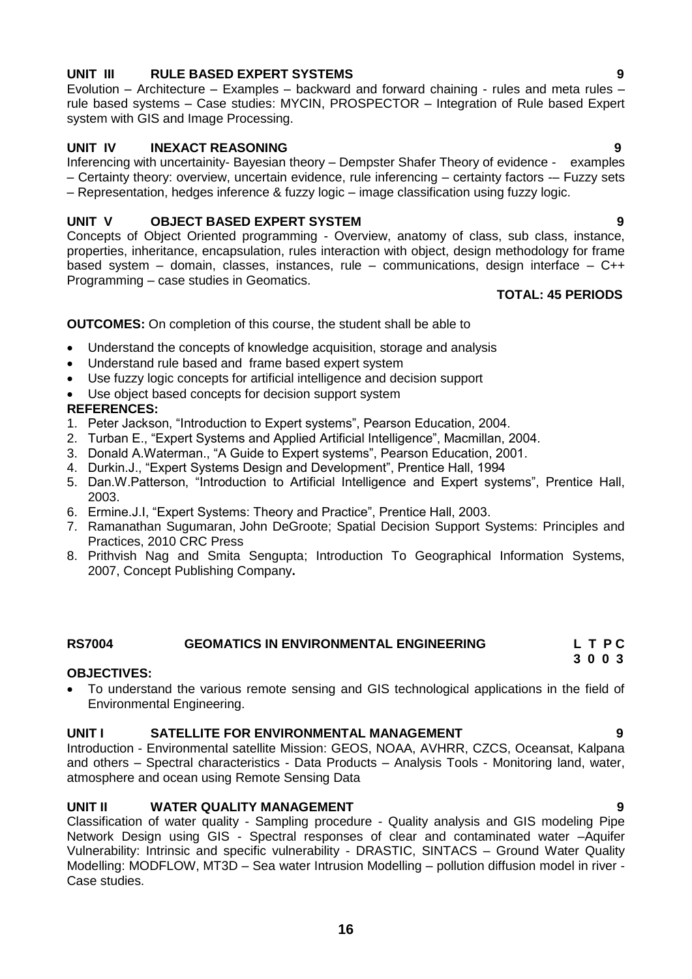### **16**

# **UNIT III RULE BASED EXPERT SYSTEMS 9**

Evolution – Architecture – Examples – backward and forward chaining - rules and meta rules – rule based systems – Case studies: MYCIN, PROSPECTOR – Integration of Rule based Expert system with GIS and Image Processing.

## **UNIT IV INEXACT REASONING 9**

Inferencing with uncertainity- Bayesian theory – Dempster Shafer Theory of evidence - examples – Certainty theory: overview, uncertain evidence, rule inferencing – certainty factors -– Fuzzy sets – Representation, hedges inference & fuzzy logic – image classification using fuzzy logic.

# **UNIT V OBJECT BASED EXPERT SYSTEM 9**

Concepts of Object Oriented programming - Overview, anatomy of class, sub class, instance, properties, inheritance, encapsulation, rules interaction with object, design methodology for frame based system – domain, classes, instances, rule – communications, design interface – C++ Programming – case studies in Geomatics.

# **TOTAL: 45 PERIODS**

### **OUTCOMES:** On completion of this course, the student shall be able to

- Understand the concepts of knowledge acquisition, storage and analysis
- Understand rule based and frame based expert system
- Use fuzzy logic concepts for artificial intelligence and decision support
- Use object based concepts for decision support system

### **REFERENCES:**

- 1. Peter Jackson, "Introduction to Expert systems", Pearson Education, 2004.
- 2. Turban E., "Expert Systems and Applied Artificial Intelligence", Macmillan, 2004.
- 3. Donald A.Waterman., "A Guide to Expert systems", Pearson Education, 2001.
- 4. Durkin.J., "Expert Systems Design and Development", Prentice Hall, 1994
- 5. Dan.W.Patterson, "Introduction to Artificial Intelligence and Expert systems", Prentice Hall, 2003.
- 6. Ermine.J.I, "Expert Systems: Theory and Practice", Prentice Hall, 2003.
- 7. [Ramanathan Sugumaran,](http://www.google.co.in/search?tbo=p&tbm=bks&q=inauthor:%22Ramanathan+Sugumaran%22&source=gbs_metadata_r&cad=6) [John DeGroote;](http://www.google.co.in/search?tbo=p&tbm=bks&q=inauthor:%22John+DeGroote%22&source=gbs_metadata_r&cad=6) Spatial Decision Support Systems: Principles and Practices, 2010 CRC Press
- 8. [Prithvish Nag and Smita Sengupta;](http://www.google.co.in/search?tbo=p&tbm=bks&q=inauthor:%22Prithvish+Nag+And+Smita+Sengupta%22&source=gbs_metadata_r&cad=6) Introduction To Geographical Information Systems, 2007, Concept Publishing Company**.**

#### **RS7004 GEOMATICS IN ENVIRONMENTAL ENGINEERING L T P C 3 0 0 3**

#### **OBJECTIVES:**

 To understand the various remote sensing and GIS technological applications in the field of Environmental Engineering.

#### **UNIT I SATELLITE FOR ENVIRONMENTAL MANAGEMENT 9**

Introduction - Environmental satellite Mission: GEOS, NOAA, AVHRR, CZCS, Oceansat, Kalpana and others – Spectral characteristics - Data Products – Analysis Tools - Monitoring land, water, atmosphere and ocean using Remote Sensing Data

### **UNIT II WATER QUALITY MANAGEMENT 9**

Classification of water quality - Sampling procedure - Quality analysis and GIS modeling Pipe Network Design using GIS - Spectral responses of clear and contaminated water –Aquifer Vulnerability: Intrinsic and specific vulnerability - DRASTIC, SINTACS – Ground Water Quality Modelling: MODFLOW, MT3D – Sea water Intrusion Modelling – pollution diffusion model in river - Case studies.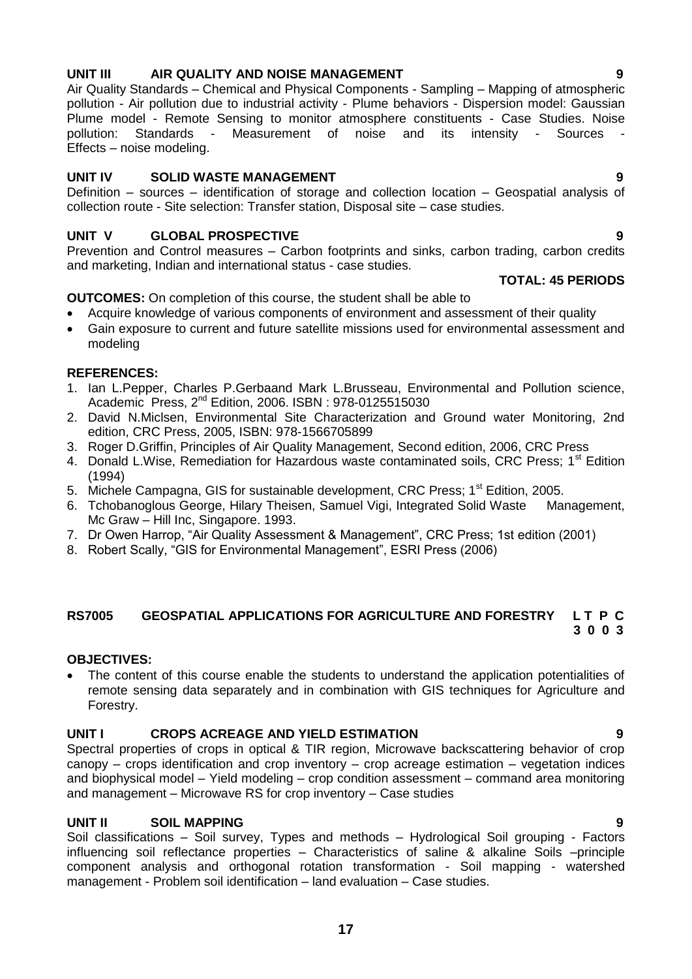# **17**

# **UNIT III AIR QUALITY AND NOISE MANAGEMENT 9**

Air Quality Standards – Chemical and Physical Components - Sampling – Mapping of atmospheric pollution - Air pollution due to industrial activity - Plume behaviors - Dispersion model: Gaussian Plume model - Remote Sensing to monitor atmosphere constituents - Case Studies. Noise pollution: Standards - Measurement of noise and its intensity - Sources Effects – noise modeling.

#### **UNIT IV SOLID WASTE MANAGEMENT 9**

Definition – sources – identification of storage and collection location – Geospatial analysis of collection route - Site selection: Transfer station, Disposal site – case studies.

### **UNIT V GLOBAL PROSPECTIVE 9**

Prevention and Control measures – Carbon footprints and sinks, carbon trading, carbon credits and marketing, Indian and international status - case studies.

#### **TOTAL: 45 PERIODS**

### **OUTCOMES:** On completion of this course, the student shall be able to

- Acquire knowledge of various components of environment and assessment of their quality
- Gain exposure to current and future satellite missions used for environmental assessment and modeling

#### **REFERENCES:**

- 1. Ian L.Pepper, Charles P.Gerbaand Mark L.Brusseau, Environmental and Pollution science, Academic Press, 2nd Edition, 2006. ISBN : 978-0125515030
- 2. David N.Miclsen, Environmental Site Characterization and Ground water Monitoring, 2nd edition, CRC Press, 2005, ISBN: 978-1566705899
- 3. Roger D.Griffin, Principles of Air Quality Management, Second edition, 2006, CRC Press
- 4. Donald L.Wise, Remediation for Hazardous waste contaminated soils, CRC Press; 1<sup>st</sup> Edition (1994)
- 5. Michele Campagna, GIS for sustainable development, CRC Press; 1<sup>st</sup> Edition, 2005.
- 6. Tchobanoglous George, Hilary Theisen, Samuel Vigi, Integrated Solid Waste Management, Mc Graw – Hill Inc, Singapore. 1993.
- 7. Dr Owen Harrop, "Air Quality Assessment & Management", CRC Press; 1st edition (2001)
- 8. Robert Scally, "GIS for Environmental Management", ESRI Press (2006)

#### **RS7005 GEOSPATIAL APPLICATIONS FOR AGRICULTURE AND FORESTRY L T P C 3 0 0 3**

#### **OBJECTIVES:**

 The content of this course enable the students to understand the application potentialities of remote sensing data separately and in combination with GIS techniques for Agriculture and Forestry.

#### **UNIT I CROPS ACREAGE AND YIELD ESTIMATION 9**

Spectral properties of crops in optical & TIR region, Microwave backscattering behavior of crop canopy – crops identification and crop inventory – crop acreage estimation – vegetation indices and biophysical model – Yield modeling – crop condition assessment – command area monitoring and management – Microwave RS for crop inventory – Case studies

#### **UNIT II SOIL MAPPING 9**

Soil classifications – Soil survey, Types and methods – Hydrological Soil grouping - Factors influencing soil reflectance properties – Characteristics of saline & alkaline Soils –principle component analysis and orthogonal rotation transformation - Soil mapping - watershed management - Problem soil identification – land evaluation – Case studies.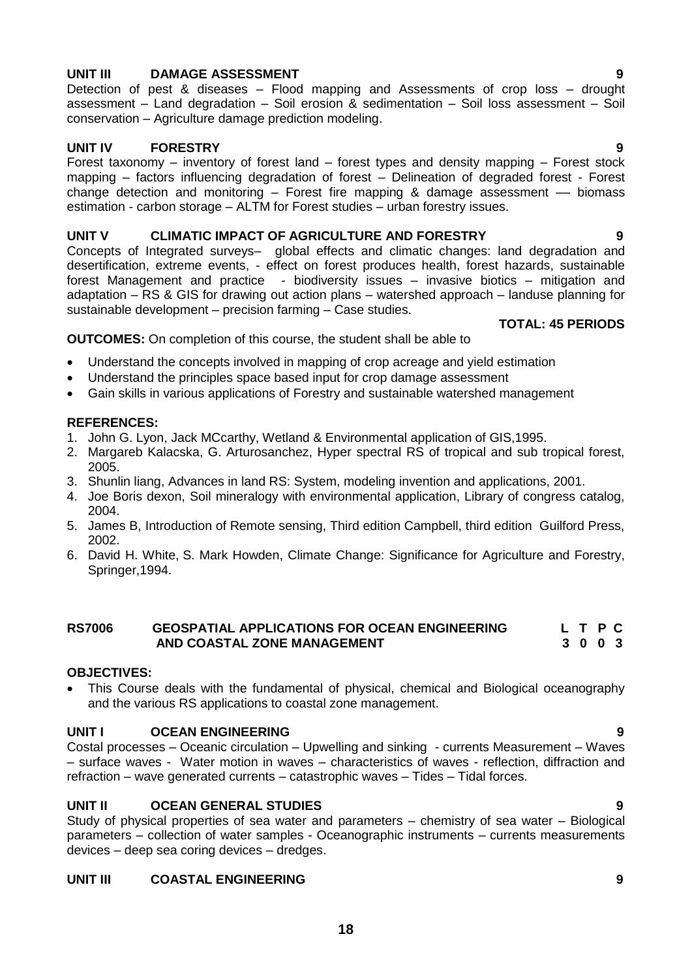#### **UNIT III DAMAGE ASSESSMENT 9**

Detection of pest & diseases – Flood mapping and Assessments of crop loss – drought assessment – Land degradation – Soil erosion  $\&$  sedimentation – Soil loss assessment – Soil conservation – Agriculture damage prediction modeling.

#### **UNIT IV FORESTRY 9**

Forest taxonomy – inventory of forest land – forest types and density mapping – Forest stock mapping – factors influencing degradation of forest – Delineation of degraded forest - Forest change detection and monitoring  $-$  Forest fire mapping & damage assessment  $-$  biomass estimation - carbon storage – ALTM for Forest studies – urban forestry issues.

#### **UNIT V CLIMATIC IMPACT OF AGRICULTURE AND FORESTRY 9**

Concepts of Integrated surveys– global effects and climatic changes: land degradation and desertification, extreme events, - effect on forest produces health, forest hazards, sustainable forest Management and practice - biodiversity issues – invasive biotics – mitigation and adaptation – RS & GIS for drawing out action plans – watershed approach – landuse planning for sustainable development – precision farming – Case studies.

#### **TOTAL: 45 PERIODS**

#### **OUTCOMES:** On completion of this course, the student shall be able to

- Understand the concepts involved in mapping of crop acreage and yield estimation
- Understand the principles space based input for crop damage assessment
- Gain skills in various applications of Forestry and sustainable watershed management

#### **REFERENCES:**

- 1. John G. Lyon, Jack MCcarthy, Wetland & Environmental application of GIS,1995.
- 2. Margareb Kalacska, G. Arturosanchez, Hyper spectral RS of tropical and sub tropical forest, 2005.
- 3. Shunlin liang, Advances in land RS: System, modeling invention and applications, 2001.
- 4. Joe Boris dexon, Soil mineralogy with environmental application, Library of congress catalog, 2004.
- 5. James B, Introduction of Remote sensing, Third edition Campbell, third edition Guilford Press, 2002.
- 6. David H. White, S. Mark Howden, Climate Change: Significance for Agriculture and Forestry, Springer,1994.

#### **RS7006 GEOSPATIAL APPLICATIONS FOR OCEAN ENGINEERING L T P C AND COASTAL ZONE MANAGEMENT 3 0 0 3**

#### **OBJECTIVES:**

 This Course deals with the fundamental of physical, chemical and Biological oceanography and the various RS applications to coastal zone management.

#### **UNIT I OCEAN ENGINEERING 9**

Costal processes – Oceanic circulation – Upwelling and sinking - currents Measurement – Waves – surface waves - Water motion in waves – characteristics of waves - reflection, diffraction and refraction – wave generated currents – catastrophic waves – Tides – Tidal forces.

#### **UNIT II OCEAN GENERAL STUDIES 9**

Study of physical properties of sea water and parameters – chemistry of sea water – Biological parameters – collection of water samples - Oceanographic instruments – currents measurements devices – deep sea coring devices – dredges.

#### **UNIT III COASTAL ENGINEERING 9**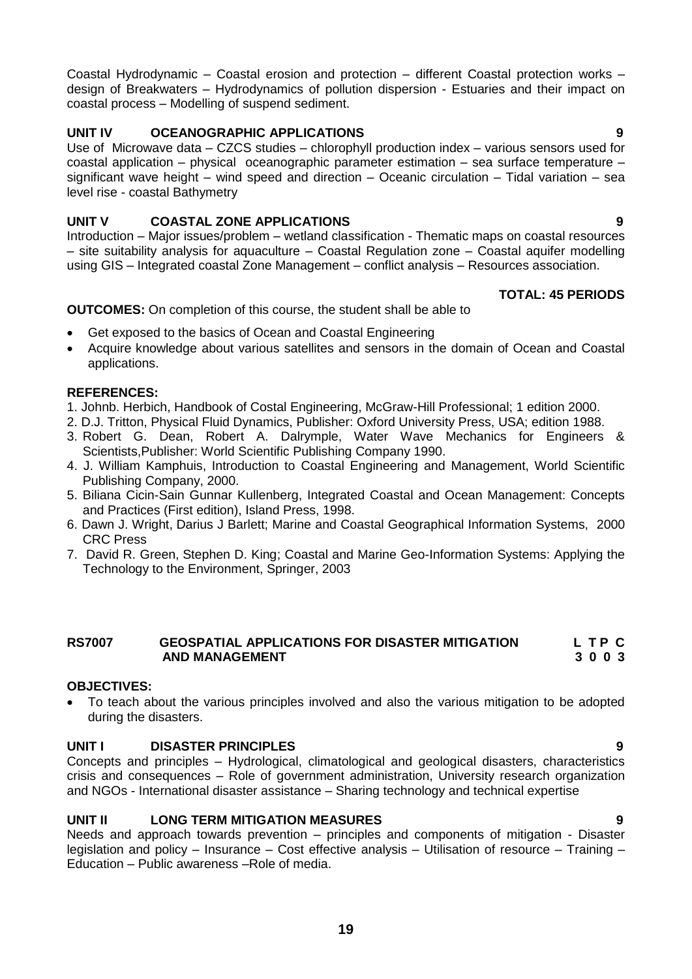Coastal Hydrodynamic – Coastal erosion and protection – different Coastal protection works – design of Breakwaters – Hydrodynamics of pollution dispersion - Estuaries and their impact on coastal process – Modelling of suspend sediment.

# **UNIT IV OCEANOGRAPHIC APPLICATIONS 9**

Use of Microwave data – CZCS studies – chlorophyll production index – various sensors used for coastal application – physical oceanographic parameter estimation – sea surface temperature – significant wave height – wind speed and direction – Oceanic circulation – Tidal variation – sea level rise - coastal Bathymetry

# **UNIT V COASTAL ZONE APPLICATIONS 9**

Introduction – Major issues/problem – wetland classification - Thematic maps on coastal resources – site suitability analysis for aquaculture – Coastal Regulation zone – Coastal aquifer modelling using GIS – Integrated coastal Zone Management – conflict analysis – Resources association.

#### **TOTAL: 45 PERIODS**

**OUTCOMES:** On completion of this course, the student shall be able to

- Get exposed to the basics of Ocean and Coastal Engineering
- Acquire knowledge about various satellites and sensors in the domain of Ocean and Coastal applications.

#### **REFERENCES:**

- 1. Johnb. Herbich, Handbook of Costal Engineering, McGraw-Hill Professional; 1 edition 2000.
- 2. D.J. Tritton, Physical Fluid Dynamics, Publisher: Oxford University Press, USA; edition 1988.
- 3. Robert G. Dean, Robert A. Dalrymple, Water Wave Mechanics for Engineers & Scientists,Publisher: World Scientific Publishing Company 1990.
- 4. J. William Kamphuis, Introduction to Coastal Engineering and Management, World Scientific Publishing Company, 2000.
- 5. Biliana Cicin-Sain Gunnar Kullenberg, Integrated Coastal and Ocean Management: Concepts and Practices (First edition), Island Press, 1998.
- 6. [Dawn J. Wright,](http://www.google.co.in/search?tbo=p&tbm=bks&q=inauthor:%22Dawn+J.+Wright%22&source=gbs_metadata_r&cad=10) [Darius J Barlett;](http://www.google.co.in/search?tbo=p&tbm=bks&q=inauthor:%22Darius+J+Barlett%22&source=gbs_metadata_r&cad=10) Marine and Coastal Geographical Information Systems, 2000 CRC Press
- 7. [David R. Green,](http://www.google.co.in/search?tbo=p&tbm=bks&q=inauthor:%22David+R.+Green%22&source=gbs_metadata_r&cad=10) [Stephen D. King;](http://www.google.co.in/search?tbo=p&tbm=bks&q=inauthor:%22Stephen+D.+King%22&source=gbs_metadata_r&cad=10) Coastal and Marine Geo-Information Systems: Applying the Technology to the Environment, Springer, 2003

#### RS7007 GEOSPATIAL APPLICATIONS FOR DISASTER MITIGATION L T P C<br>AND MANAGEMENT 3 0 0 3  **AND MANAGEMENT 3 0 0 3**

#### **OBJECTIVES:**

 To teach about the various principles involved and also the various mitigation to be adopted during the disasters.

### **UNIT I DISASTER PRINCIPLES 9**

Concepts and principles – Hydrological, climatological and geological disasters, characteristics crisis and consequences – Role of government administration, University research organization and NGOs - International disaster assistance – Sharing technology and technical expertise

### **UNIT II LONG TERM MITIGATION MEASURES 9**

Needs and approach towards prevention – principles and components of mitigation - Disaster legislation and policy – Insurance – Cost effective analysis – Utilisation of resource – Training – Education – Public awareness –Role of media.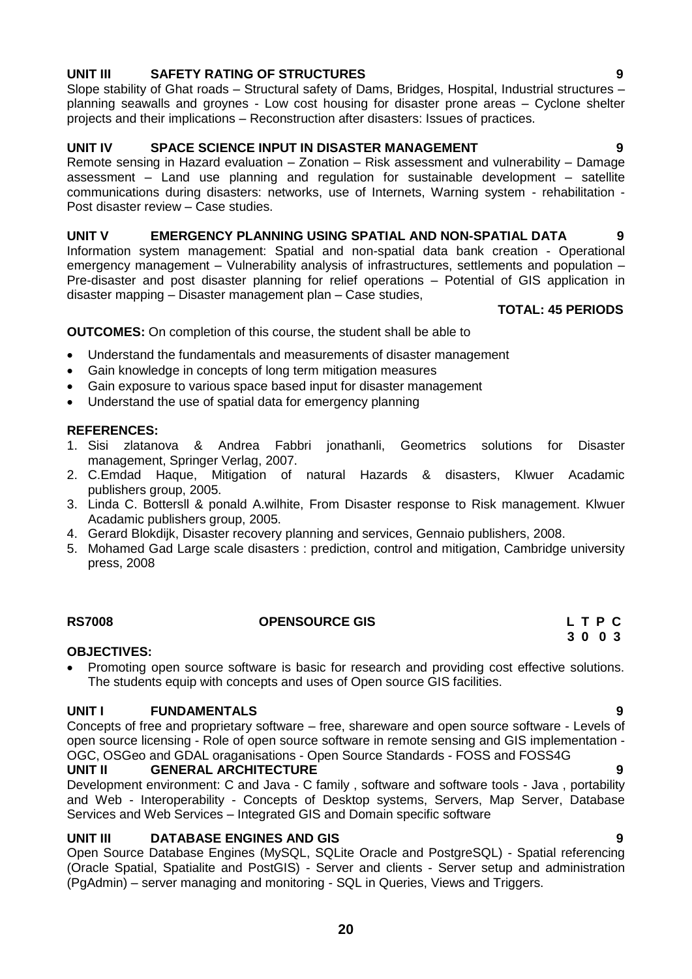#### **UNIT III SAFETY RATING OF STRUCTURES 9**

Slope stability of Ghat roads – Structural safety of Dams, Bridges, Hospital, Industrial structures – planning seawalls and groynes - Low cost housing for disaster prone areas – Cyclone shelter projects and their implications – Reconstruction after disasters: Issues of practices.

#### **UNIT IV SPACE SCIENCE INPUT IN DISASTER MANAGEMENT 9**

Remote sensing in Hazard evaluation – Zonation – Risk assessment and vulnerability – Damage assessment – Land use planning and regulation for sustainable development – satellite communications during disasters: networks, use of Internets, Warning system - rehabilitation - Post disaster review – Case studies.

#### **UNIT V EMERGENCY PLANNING USING SPATIAL AND NON-SPATIAL DATA 9**

Information system management: Spatial and non-spatial data bank creation - Operational emergency management – Vulnerability analysis of infrastructures, settlements and population – Pre-disaster and post disaster planning for relief operations – Potential of GIS application in disaster mapping – Disaster management plan – Case studies,

#### **TOTAL: 45 PERIODS**

#### **OUTCOMES:** On completion of this course, the student shall be able to

- Understand the fundamentals and measurements of disaster management
- Gain knowledge in concepts of long term mitigation measures
- Gain exposure to various space based input for disaster management
- Understand the use of spatial data for emergency planning

#### **REFERENCES:**

- 1. Sisi zlatanova & Andrea Fabbri jonathanli, Geometrics solutions for Disaster management, Springer Verlag, 2007.
- 2. C.Emdad Haque, Mitigation of natural Hazards & disasters, Klwuer Acadamic publishers group, 2005.
- 3. Linda C. Bottersll & ponald A.wilhite, From Disaster response to Risk management. Klwuer Acadamic publishers group, 2005.
- 4. Gerard Blokdijk, Disaster recovery planning and services, Gennaio publishers, 2008.
- 5. Mohamed Gad Large scale disasters : prediction, control and mitigation, Cambridge university press, 2008

#### **RS7008 OPENSOURCE GIS L T P C**

#### **OBJECTIVES:**

 Promoting open source software is basic for research and providing cost effective solutions. The students equip with concepts and uses of Open source GIS facilities.

#### **UNIT I FUNDAMENTALS 9**

Concepts of free and proprietary software – free, shareware and open source software - Levels of open source licensing - Role of open source software in remote sensing and GIS implementation - OGC, OSGeo and GDAL oraganisations - Open Source Standards - FOSS and FOSS4G

#### **UNIT II GENERAL ARCHITECTURE 9**

Development environment: C and Java - C family , software and software tools - Java , portability and Web - Interoperability - Concepts of Desktop systems, Servers, Map Server, Database Services and Web Services – Integrated GIS and Domain specific software

#### **UNIT III DATABASE ENGINES AND GIS 9**

Open Source Database Engines (MySQL, SQLite Oracle and PostgreSQL) - Spatial referencing (Oracle Spatial, Spatialite and PostGIS) - Server and clients - Server setup and administration (PgAdmin) – server managing and monitoring - SQL in Queries, Views and Triggers.

 **3 0 0 3**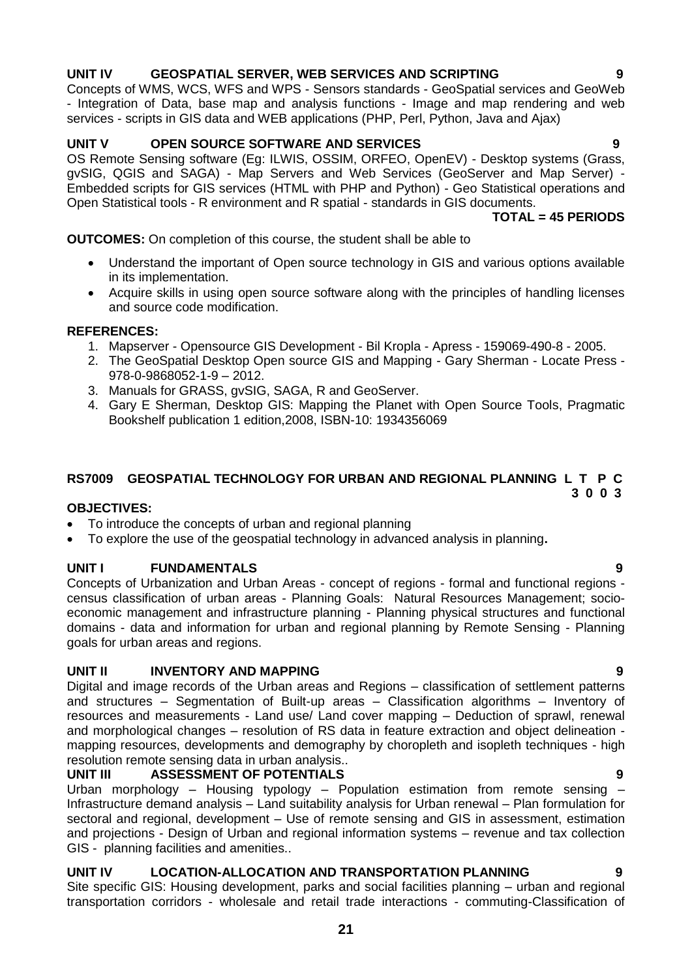#### **RS7009 GEOSPATIAL TECHNOLOGY FOR URBAN AND REGIONAL PLANNING L T P C**

#### **OBJECTIVES:**

- To introduce the concepts of urban and regional planning
- To explore the use of the geospatial technology in advanced analysis in planning**.**

#### **UNIT I FUNDAMENTALS 9**

Concepts of Urbanization and Urban Areas - concept of regions - formal and functional regions census classification of urban areas - Planning Goals: Natural Resources Management; socioeconomic management and infrastructure planning - Planning physical structures and functional domains - data and information for urban and regional planning by Remote Sensing - Planning goals for urban areas and regions.

#### **UNIT II INVENTORY AND MAPPING 9**

Digital and image records of the Urban areas and Regions – classification of settlement patterns and structures – Segmentation of Built-up areas – Classification algorithms – Inventory of resources and measurements - Land use/ Land cover mapping – Deduction of sprawl, renewal and morphological changes – resolution of RS data in feature extraction and object delineation mapping resources, developments and demography by choropleth and isopleth techniques - high resolution remote sensing data in urban analysis..

#### **UNIT III ASSESSMENT OF POTENTIALS**

Urban morphology – Housing typology – Population estimation from remote sensing – Infrastructure demand analysis – Land suitability analysis for Urban renewal – Plan formulation for sectoral and regional, development – Use of remote sensing and GIS in assessment, estimation and projections - Design of Urban and regional information systems – revenue and tax collection GIS - planning facilities and amenities..

#### **UNIT IV LOCATION-ALLOCATION AND TRANSPORTATION PLANNING 9**

Site specific GIS: Housing development, parks and social facilities planning – urban and regional transportation corridors - wholesale and retail trade interactions - commuting-Classification of

**21**

#### **UNIT IV GEOSPATIAL SERVER, WEB SERVICES AND SCRIPTING 9**

Concepts of WMS, WCS, WFS and WPS - Sensors standards - GeoSpatial services and GeoWeb - Integration of Data, base map and analysis functions - Image and map rendering and web services - scripts in GIS data and WEB applications (PHP, Perl, Python, Java and Ajax)

#### **UNIT V OPEN SOURCE SOFTWARE AND SERVICES 9**

OS Remote Sensing software (Eg: ILWIS, OSSIM, ORFEO, OpenEV) - Desktop systems (Grass, gvSIG, QGIS and SAGA) - Map Servers and Web Services (GeoServer and Map Server) - Embedded scripts for GIS services (HTML with PHP and Python) - Geo Statistical operations and Open Statistical tools - R environment and R spatial - standards in GIS documents.

#### **TOTAL = 45 PERIODS**

#### **OUTCOMES:** On completion of this course, the student shall be able to

- Understand the important of Open source technology in GIS and various options available in its implementation.
- Acquire skills in using open source software along with the principles of handling licenses and source code modification.

#### **REFERENCES:**

- 1. Mapserver Opensource GIS Development Bil Kropla Apress 159069-490-8 2005.
- 2. The GeoSpatial Desktop Open source GIS and Mapping Gary Sherman Locate Press 978-0-9868052-1-9 – 2012.
- 3. Manuals for GRASS, gvSIG, SAGA, R and GeoServer.
- 4. Gary E Sherman, Desktop GIS: Mapping the Planet with Open Source Tools, Pragmatic Bookshelf publication 1 edition,2008, ISBN-10: 1934356069

 **3 0 0 3**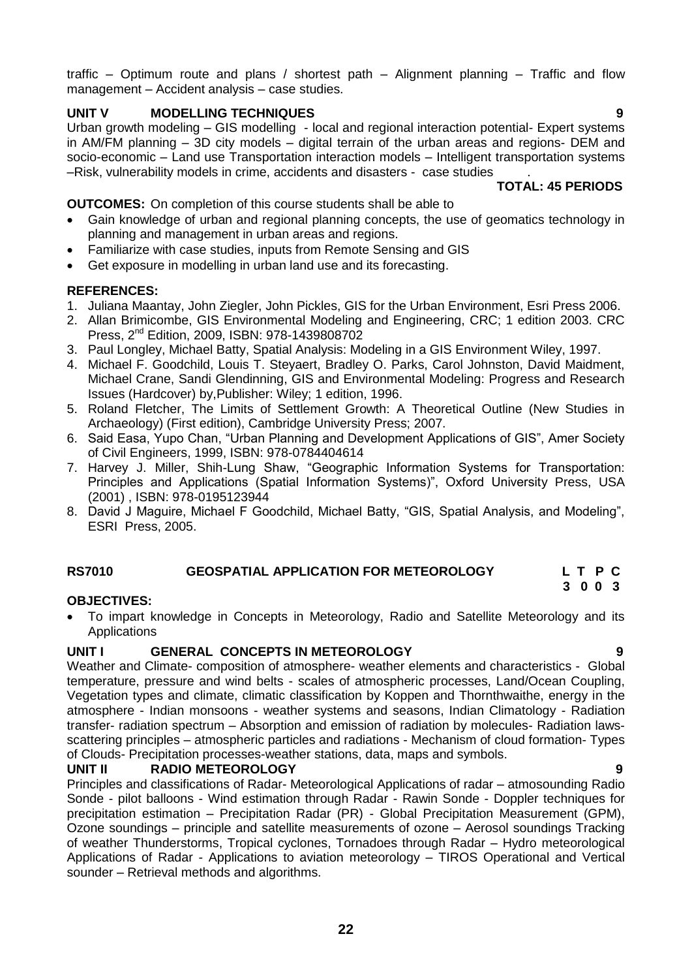traffic – Optimum route and plans / shortest path – Alignment planning – Traffic and flow management – Accident analysis – case studies.

## **UNIT V MODELLING TECHNIQUES 9**

Urban growth modeling – GIS modelling - local and regional interaction potential- Expert systems in AM/FM planning – 3D city models – digital terrain of the urban areas and regions- DEM and socio-economic – Land use Transportation interaction models – Intelligent transportation systems –Risk, vulnerability models in crime, accidents and disasters - case studies .

 **TOTAL: 45 PERIODS**

## **OUTCOMES:** On completion of this course students shall be able to

- Gain knowledge of urban and regional planning concepts, the use of geomatics technology in planning and management in urban areas and regions.
- Familiarize with case studies, inputs from Remote Sensing and GIS
- Get exposure in modelling in urban land use and its forecasting.

#### **REFERENCES:**

- 1. Juliana Maantay, John Ziegler, John Pickles, GIS for the Urban Environment, Esri Press 2006.
- 2. Allan Brimicombe, GIS Environmental Modeling and Engineering, CRC; 1 edition 2003. CRC Press, 2nd Edition, 2009, ISBN: 978-1439808702
- 3. Paul Longley, Michael Batty, Spatial Analysis: Modeling in a GIS Environment Wiley, 1997.
- 4. Michael F. Goodchild, Louis T. Steyaert, Bradley O. Parks, Carol Johnston, David Maidment, Michael Crane, Sandi Glendinning, GIS and Environmental Modeling: Progress and Research Issues (Hardcover) by,Publisher: Wiley; 1 edition, 1996.
- 5. Roland Fletcher, The Limits of Settlement Growth: A Theoretical Outline (New Studies in Archaeology) (First edition), Cambridge University Press; 2007.
- 6. Said Easa, Yupo Chan, "Urban Planning and Development Applications of GIS", Amer Society of Civil Engineers, 1999, ISBN: 978-0784404614
- 7. Harvey J. Miller, Shih-Lung Shaw, "Geographic Information Systems for Transportation: Principles and Applications (Spatial Information Systems)", Oxford University Press, USA (2001) , ISBN: 978-0195123944
- 8. David J Maguire, Michael F Goodchild, Michael Batty, "GIS, Spatial Analysis, and Modeling", ESRI Press, 2005.

#### **RS7010 GEOSPATIAL APPLICATION FOR METEOROLOGY L T P C 3 0 0 3**

#### **OBJECTIVES:**

 To impart knowledge in Concepts in Meteorology, Radio and Satellite Meteorology and its Applications

#### **UNIT I GENERAL CONCEPTS IN METEOROLOGY 9**

Weather and Climate- composition of atmosphere- weather elements and characteristics - Global temperature, pressure and wind belts - scales of atmospheric processes, Land/Ocean Coupling, Vegetation types and climate, climatic classification by Koppen and Thornthwaithe, energy in the atmosphere - Indian monsoons - weather systems and seasons, Indian Climatology - Radiation transfer- radiation spectrum – Absorption and emission of radiation by molecules- Radiation lawsscattering principles – atmospheric particles and radiations - Mechanism of cloud formation- Types of Clouds- Precipitation processes-weather stations, data, maps and symbols.

### **UNIT II RADIO METEOROLOGY 9**

Principles and classifications of Radar- Meteorological Applications of radar – atmosounding Radio Sonde - pilot balloons - Wind estimation through Radar - Rawin Sonde - Doppler techniques for precipitation estimation – Precipitation Radar (PR) - Global Precipitation Measurement (GPM), Ozone soundings – principle and satellite measurements of ozone – Aerosol soundings Tracking of weather Thunderstorms, Tropical cyclones, Tornadoes through Radar – Hydro meteorological Applications of Radar - Applications to aviation meteorology – TIROS Operational and Vertical sounder – Retrieval methods and algorithms.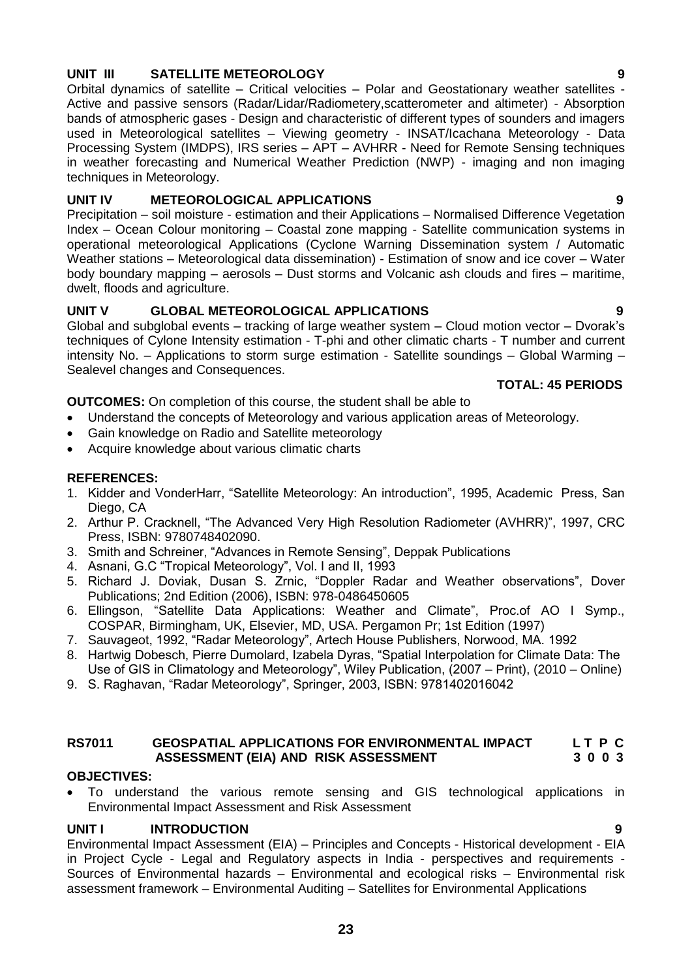# **UNIT III SATELLITE METEOROLOGY 9**

Orbital dynamics of satellite – Critical velocities – Polar and Geostationary weather satellites - Active and passive sensors (Radar/Lidar/Radiometery,scatterometer and altimeter) - Absorption bands of atmospheric gases - Design and characteristic of different types of sounders and imagers used in Meteorological satellites – Viewing geometry - INSAT/Icachana Meteorology - Data Processing System (IMDPS), IRS series – APT – AVHRR - Need for Remote Sensing techniques in weather forecasting and Numerical Weather Prediction (NWP) - imaging and non imaging techniques in Meteorology.

# **UNIT IV METEOROLOGICAL APPLICATIONS 9**

Precipitation – soil moisture - estimation and their Applications – Normalised Difference Vegetation Index – Ocean Colour monitoring – Coastal zone mapping - Satellite communication systems in operational meteorological Applications (Cyclone Warning Dissemination system / Automatic Weather stations – Meteorological data dissemination) - Estimation of snow and ice cover – Water body boundary mapping – aerosols – Dust storms and Volcanic ash clouds and fires – maritime, dwelt, floods and agriculture.

# **UNIT V GLOBAL METEOROLOGICAL APPLICATIONS 9**

Global and subglobal events – tracking of large weather system – Cloud motion vector – Dvorak"s techniques of Cylone Intensity estimation - T-phi and other climatic charts - T number and current intensity No. – Applications to storm surge estimation - Satellite soundings – Global Warming – Sealevel changes and Consequences.

#### **TOTAL: 45 PERIODS**

**OUTCOMES:** On completion of this course, the student shall be able to

- Understand the concepts of Meteorology and various application areas of Meteorology.
- Gain knowledge on Radio and Satellite meteorology
- Acquire knowledge about various climatic charts

# **REFERENCES:**

- 1. Kidder and VonderHarr, "Satellite Meteorology: An introduction", 1995, Academic Press, San Diego, CA
- 2. Arthur P. Cracknell, "The Advanced Very High Resolution Radiometer (AVHRR)", 1997, CRC Press, ISBN: 9780748402090.
- 3. Smith and Schreiner, "Advances in Remote Sensing", Deppak Publications
- 4. Asnani, G.C "Tropical Meteorology", Vol. I and II, 1993
- 5. Richard J. Doviak, Dusan S. Zrnic, "Doppler Radar and Weather observations", Dover Publications; 2nd Edition (2006), ISBN: 978-0486450605
- 6. Ellingson, "Satellite Data Applications: Weather and Climate", Proc.of AO I Symp., COSPAR, Birmingham, UK, Elsevier, MD, USA. Pergamon Pr; 1st Edition (1997)
- 7. Sauvageot, 1992, "Radar Meteorology", Artech House Publishers, Norwood, MA. 1992
- 8. Hartwig Dobesch, Pierre Dumolard, Izabela Dyras, "Spatial Interpolation for Climate Data: The Use of GIS in Climatology and Meteorology", Wiley Publication, (2007 – Print), (2010 – Online)
- 9. S. Raghavan, "Radar Meteorology", Springer, 2003, ISBN: 9781402016042

### **RS7011 GEOSPATIAL APPLICATIONS FOR ENVIRONMENTAL IMPACT L T P C ASSESSMENT (EIA) AND RISK ASSESSMENT 3 0 0 3**

### **OBJECTIVES:**

 To understand the various remote sensing and GIS technological applications in Environmental Impact Assessment and Risk Assessment

### UNIT **INTRODUCTION**

Environmental Impact Assessment (EIA) – Principles and Concepts - Historical development - EIA in Project Cycle - Legal and Regulatory aspects in India - perspectives and requirements - Sources of Environmental hazards – Environmental and ecological risks – Environmental risk assessment framework – Environmental Auditing – Satellites for Environmental Applications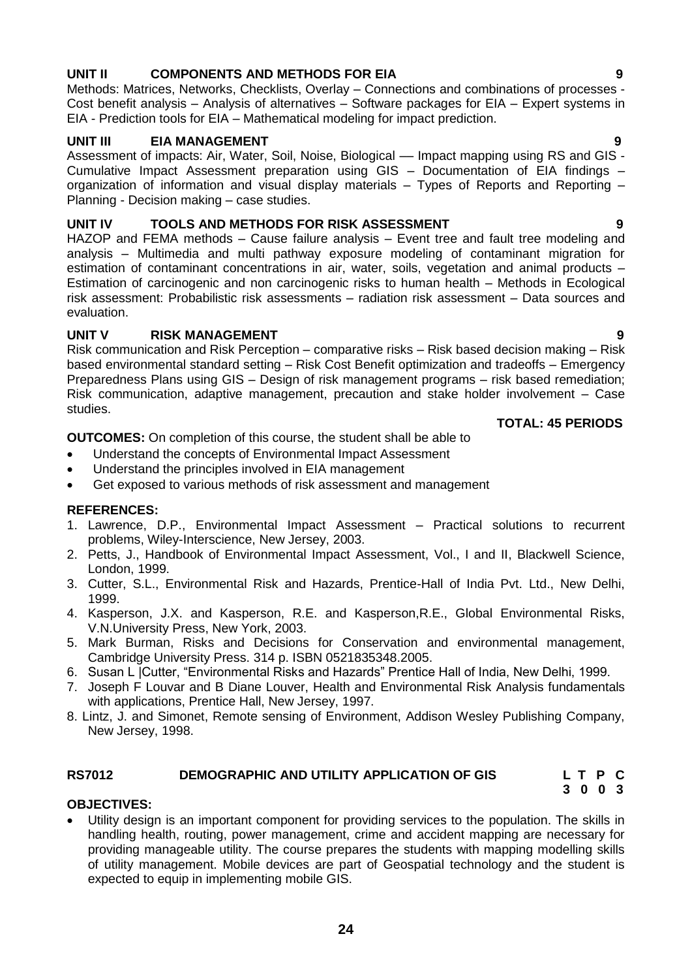# **24**

# **UNIT II COMPONENTS AND METHODS FOR EIA 9**

Methods: Matrices, Networks, Checklists, Overlay – Connections and combinations of processes - Cost benefit analysis – Analysis of alternatives – Software packages for EIA – Expert systems in EIA - Prediction tools for EIA – Mathematical modeling for impact prediction.

#### **UNIT III EIA MANAGEMENT 9**

Assessment of impacts: Air, Water, Soil, Noise, Biological — Impact mapping using RS and GIS -Cumulative Impact Assessment preparation using GIS – Documentation of EIA findings – organization of information and visual display materials – Types of Reports and Reporting – Planning - Decision making – case studies.

### **UNIT IV TOOLS AND METHODS FOR RISK ASSESSMENT 9**

HAZOP and FEMA methods – Cause failure analysis – Event tree and fault tree modeling and analysis – Multimedia and multi pathway exposure modeling of contaminant migration for estimation of contaminant concentrations in air, water, soils, vegetation and animal products – Estimation of carcinogenic and non carcinogenic risks to human health – Methods in Ecological risk assessment: Probabilistic risk assessments – radiation risk assessment – Data sources and evaluation.

### **UNIT V RISK MANAGEMENT 9**

Risk communication and Risk Perception – comparative risks – Risk based decision making – Risk based environmental standard setting – Risk Cost Benefit optimization and tradeoffs – Emergency Preparedness Plans using GIS – Design of risk management programs – risk based remediation; Risk communication, adaptive management, precaution and stake holder involvement – Case studies.

#### **TOTAL: 45 PERIODS**

**OUTCOMES:** On completion of this course, the student shall be able to

- Understand the concepts of Environmental Impact Assessment
- Understand the principles involved in EIA management
- Get exposed to various methods of risk assessment and management

#### **REFERENCES:**

- 1. Lawrence, D.P., Environmental Impact Assessment Practical solutions to recurrent problems, Wiley-Interscience, New Jersey, 2003.
- 2. Petts, J., Handbook of Environmental Impact Assessment, Vol., I and II, Blackwell Science, London, 1999.
- 3. Cutter, S.L., Environmental Risk and Hazards, Prentice-Hall of India Pvt. Ltd., New Delhi, 1999.
- 4. Kasperson, J.X. and Kasperson, R.E. and Kasperson,R.E., Global Environmental Risks, V.N.University Press, New York, 2003.
- 5. Mark Burman, Risks and Decisions for Conservation and environmental management, Cambridge University Press. 314 p. ISBN 0521835348.2005.
- 6. Susan L |Cutter, "Environmental Risks and Hazards" Prentice Hall of India, New Delhi, 1999.
- 7. Joseph F Louvar and B Diane Louver, Health and Environmental Risk Analysis fundamentals with applications, Prentice Hall, New Jersey, 1997.
- 8. Lintz, J. and Simonet, Remote sensing of Environment, Addison Wesley Publishing Company, New Jersey, 1998.

#### **RS7012 DEMOGRAPHIC AND UTILITY APPLICATION OF GIS L T P C 3 0 0 3**

#### **OBJECTIVES:**

 Utility design is an important component for providing services to the population. The skills in handling health, routing, power management, crime and accident mapping are necessary for providing manageable utility. The course prepares the students with mapping modelling skills of utility management. Mobile devices are part of Geospatial technology and the student is expected to equip in implementing mobile GIS.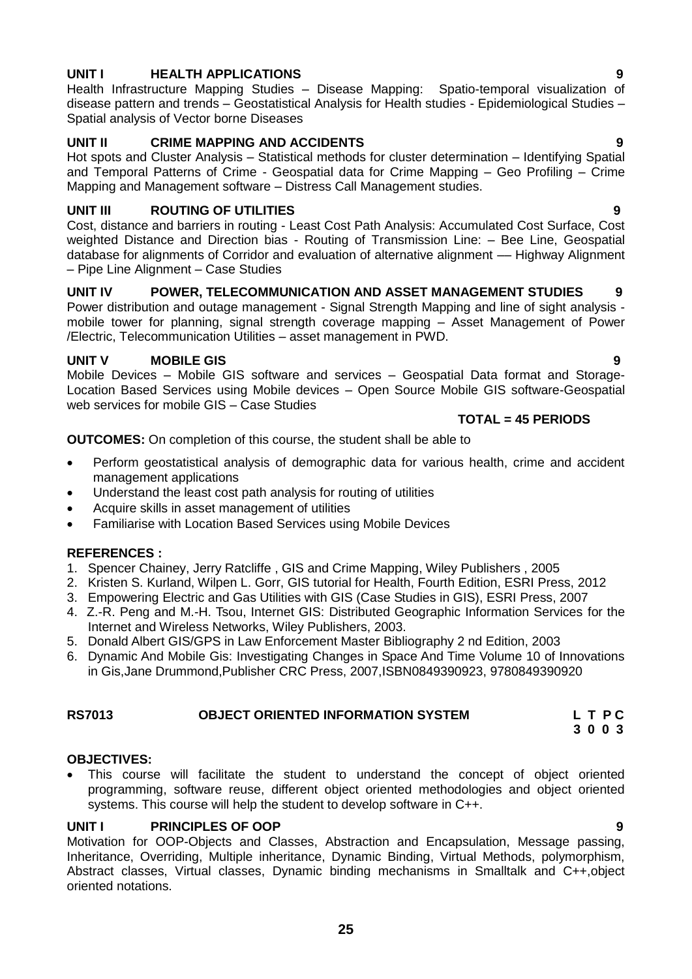# **UNIT I HEALTH APPLICATIONS 9**

Health Infrastructure Mapping Studies – Disease Mapping: Spatio-temporal visualization of disease pattern and trends – Geostatistical Analysis for Health studies - Epidemiological Studies – Spatial analysis of Vector borne Diseases

# **UNIT II CRIME MAPPING AND ACCIDENTS 9**

Hot spots and Cluster Analysis – Statistical methods for cluster determination – Identifying Spatial and Temporal Patterns of Crime - Geospatial data for Crime Mapping – Geo Profiling – Crime Mapping and Management software – Distress Call Management studies.

# **UNIT III ROUTING OF UTILITIES 9**

Cost, distance and barriers in routing - Least Cost Path Analysis: Accumulated Cost Surface, Cost weighted Distance and Direction bias - Routing of Transmission Line: – Bee Line, Geospatial database for alignments of Corridor and evaluation of alternative alignment –– Highway Alignment – Pipe Line Alignment – Case Studies

### **UNIT IV POWER, TELECOMMUNICATION AND ASSET MANAGEMENT STUDIES 9**

Power distribution and outage management - Signal Strength Mapping and line of sight analysis mobile tower for planning, signal strength coverage mapping – Asset Management of Power /Electric, Telecommunication Utilities – asset management in PWD.

# **UNIT V MOBILE GIS 9**

Mobile Devices – Mobile GIS software and services – Geospatial Data format and Storage-Location Based Services using Mobile devices – Open Source Mobile GIS software-Geospatial web services for mobile GIS – Case Studies

#### **TOTAL = 45 PERIODS**

**OUTCOMES:** On completion of this course, the student shall be able to

- Perform geostatistical analysis of demographic data for various health, crime and accident management applications
- Understand the least cost path analysis for routing of utilities
- Acquire skills in asset management of utilities
- Familiarise with Location Based Services using Mobile Devices

# **REFERENCES :**

- 1. Spencer Chainey, [Jerry Ratcliffe](http://as.wiley.com/WileyCDA/Section/id-302477.html?query=Jerry+Ratcliffe) , GIS and Crime Mapping, Wiley Publishers , 2005
- 2. Kristen S. Kurland, Wilpen L. Gorr, GIS tutorial for Health, Fourth Edition, ESRI Press, 2012
- 3. Empowering Electric and Gas Utilities with GIS (Case Studies in GIS), ESRI Press, 2007
- 4. Z.-R. Peng and M.-H. Tsou, Internet GIS: Distributed Geographic Information Services for the Internet and Wireless Networks, Wiley Publishers, 2003.
- 5. Donald Albert GIS/GPS in Law Enforcement Master Bibliography 2 nd Edition, 2003
- 6. Dynamic And Mobile Gis: Investigating Changes in Space And Time Volume 10 of Innovations in Gis,Jane Drummond,Publisher CRC Press, 2007,ISBN0849390923, 9780849390920

#### **RS7013 OBJECT ORIENTED INFORMATION SYSTEM L T P C 3 0 0 3**

#### **OBJECTIVES:**

 This course will facilitate the student to understand the concept of object oriented programming, software reuse, different object oriented methodologies and object oriented systems. This course will help the student to develop software in C++.

### **UNIT I PRINCIPLES OF OOP 9**

Motivation for OOP-Objects and Classes, Abstraction and Encapsulation, Message passing, Inheritance, Overriding, Multiple inheritance, Dynamic Binding, Virtual Methods, polymorphism, Abstract classes, Virtual classes, Dynamic binding mechanisms in Smalltalk and C++,object oriented notations.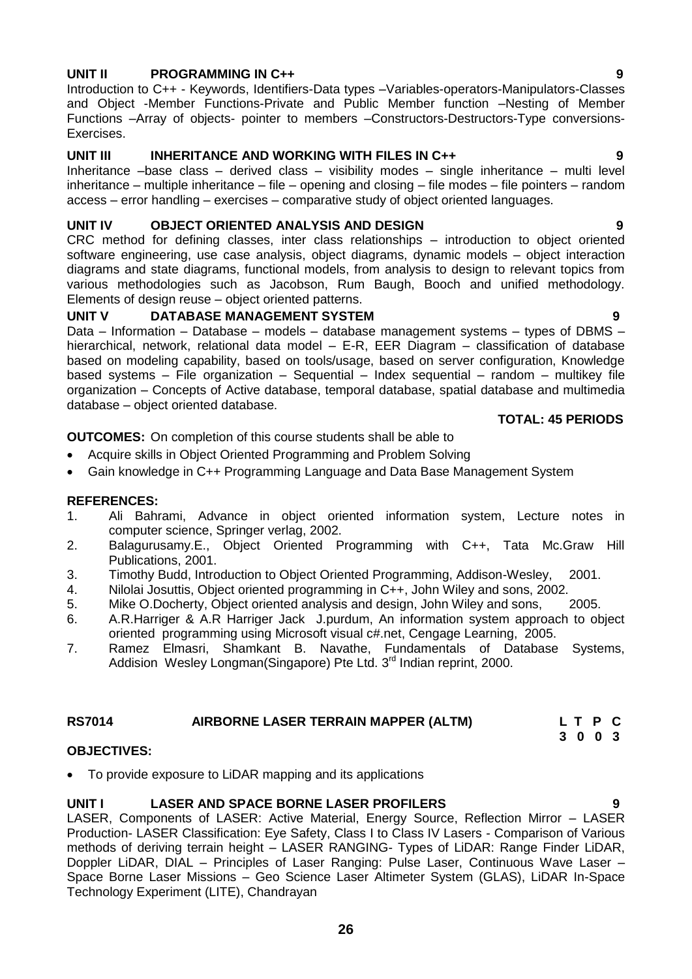#### **UNIT II PROGRAMMING IN C++ 9**

Introduction to C++ - Keywords, Identifiers-Data types –Variables-operators-Manipulators-Classes and Object -Member Functions-Private and Public Member function –Nesting of Member Functions –Array of objects- pointer to members –Constructors-Destructors-Type conversions-Exercises.

#### UNIT III INHERITANCE AND WORKING WITH FILES IN C++ 9

Inheritance –base class – derived class – visibility modes – single inheritance – multi level inheritance – multiple inheritance – file – opening and closing – file modes – file pointers – random access – error handling – exercises – comparative study of object oriented languages.

#### **UNIT IV OBJECT ORIENTED ANALYSIS AND DESIGN 9**

CRC method for defining classes, inter class relationships – introduction to object oriented software engineering, use case analysis, object diagrams, dynamic models – object interaction diagrams and state diagrams, functional models, from analysis to design to relevant topics from various methodologies such as Jacobson, Rum Baugh, Booch and unified methodology. Elements of design reuse – object oriented patterns.

#### **UNIT V DATABASE MANAGEMENT SYSTEM 9**

Data – Information – Database – models – database management systems – types of DBMS – hierarchical, network, relational data model – E-R, EER Diagram – classification of database based on modeling capability, based on tools/usage, based on server configuration, Knowledge based systems – File organization – Sequential – Index sequential – random – multikey file organization – Concepts of Active database, temporal database, spatial database and multimedia database – object oriented database.

#### **TOTAL: 45 PERIODS**

**OUTCOMES:** On completion of this course students shall be able to

- Acquire skills in Object Oriented Programming and Problem Solving
- Gain knowledge in C++ Programming Language and Data Base Management System

#### **REFERENCES:**

- 1. Ali Bahrami, Advance in object oriented information system, Lecture notes in computer science, Springer verlag, 2002.
- 2. Balagurusamy.E., Object Oriented Programming with C++, Tata Mc.Graw Hill Publications, 2001.
- 3. Timothy Budd, Introduction to Object Oriented Programming, Addison-Wesley, 2001.
- 4. Nilolai Josuttis, Object oriented programming in C++, John Wiley and sons, 2002.
- 5. Mike O.Docherty, Object oriented analysis and design, John Wiley and sons, 2005.
- 6. A.R.Harriger & A.R Harriger Jack J.purdum, An information system approach to object oriented programming using Microsoft visual c#.net, Cengage Learning, 2005.
- 7. Ramez Elmasri, Shamkant B. Navathe, Fundamentals of Database Systems, Addision Wesley Longman(Singapore) Pte Ltd.  $3<sup>rd</sup>$  Indian reprint, 2000.

#### **RS7014 AIRBORNE LASER TERRAIN MAPPER (ALTM) L T P C 3 0 0 3**

#### **OBJECTIVES:**

To provide exposure to LiDAR mapping and its applications

#### **UNIT I LASER AND SPACE BORNE LASER PROFILERS 9**

LASER, Components of LASER: Active Material, Energy Source, Reflection Mirror – LASER Production- LASER Classification: Eye Safety, Class I to Class IV Lasers - Comparison of Various methods of deriving terrain height – LASER RANGING- Types of LiDAR: Range Finder LiDAR, Doppler LiDAR, DIAL – Principles of Laser Ranging: Pulse Laser, Continuous Wave Laser – Space Borne Laser Missions – Geo Science Laser Altimeter System (GLAS), LiDAR In-Space Technology Experiment (LITE), Chandrayan